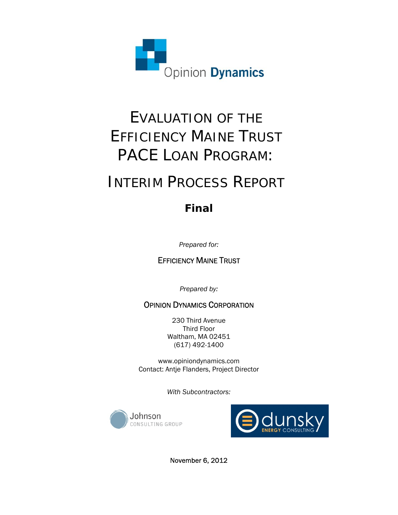

# EVALUATION OF THE EFFICIENCY MAINE TRUST PACE LOAN PROGRAM:

# INTERIM PROCESS REPORT

# **Final**

*Prepared for:* 

## EFFICIENCY MAINE TRUST

*Prepared by:* 

### OPINION DYNAMICS CORPORATION

230 Third Avenue Third Floor Waltham, MA 02451 (617) 492-1400

www.opiniondynamics.com Contact: Antje Flanders, Project Director

*With Subcontractors:* 





November 6, 2012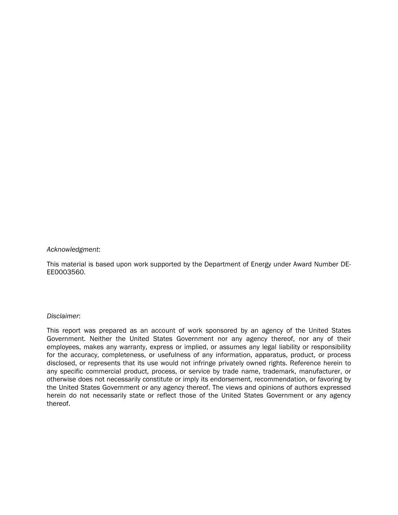#### *Acknowledgment*:

This material is based upon work supported by the Department of Energy under Award Number DE-EE0003560.

#### *Disclaimer*:

This report was prepared as an account of work sponsored by an agency of the United States Government. Neither the United States Government nor any agency thereof, nor any of their employees, makes any warranty, express or implied, or assumes any legal liability or responsibility for the accuracy, completeness, or usefulness of any information, apparatus, product, or process disclosed, or represents that its use would not infringe privately owned rights. Reference herein to any specific commercial product, process, or service by trade name, trademark, manufacturer, or otherwise does not necessarily constitute or imply its endorsement, recommendation, or favoring by the United States Government or any agency thereof. The views and opinions of authors expressed herein do not necessarily state or reflect those of the United States Government or any agency thereof.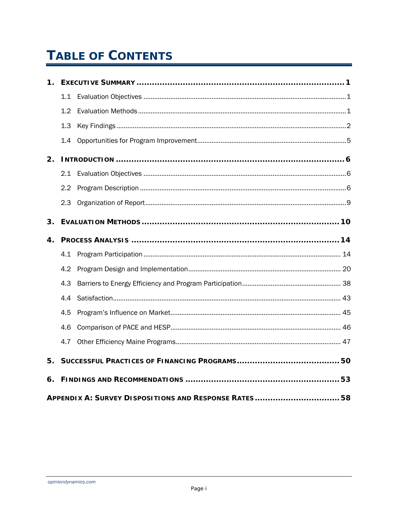# **TABLE OF CONTENTS**

| 1. |                  |                                                      |
|----|------------------|------------------------------------------------------|
|    |                  |                                                      |
|    | 1.2 <sub>2</sub> |                                                      |
|    | 1.3              |                                                      |
|    | 1.4              |                                                      |
| 2. |                  |                                                      |
|    | 2.1              |                                                      |
|    | $2.2^{\circ}$    |                                                      |
|    | 2.3              |                                                      |
| 3. |                  |                                                      |
| 4. |                  |                                                      |
|    |                  |                                                      |
|    | 4.2              |                                                      |
|    | 4.3              |                                                      |
|    | 4.4              |                                                      |
|    | 4.5              |                                                      |
|    | 4.6              |                                                      |
|    | 4.7              |                                                      |
| 5. |                  |                                                      |
| 6. |                  |                                                      |
|    |                  | APPENDIX A: SURVEY DISPOSITIONS AND RESPONSE RATES58 |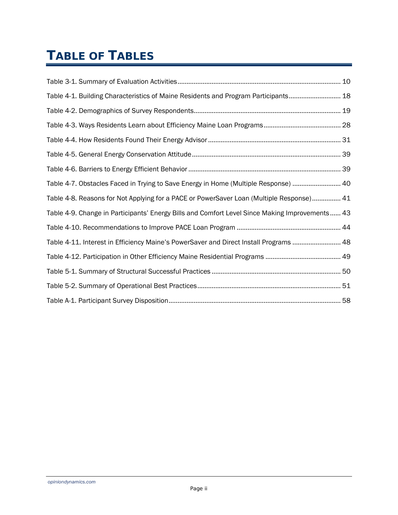# **TABLE OF TABLES**

| Table 4-1. Building Characteristics of Maine Residents and Program Participants 18             |  |
|------------------------------------------------------------------------------------------------|--|
|                                                                                                |  |
|                                                                                                |  |
|                                                                                                |  |
|                                                                                                |  |
|                                                                                                |  |
| Table 4-7. Obstacles Faced in Trying to Save Energy in Home (Multiple Response)  40            |  |
| Table 4-8. Reasons for Not Applying for a PACE or PowerSaver Loan (Multiple Response) 41       |  |
| Table 4-9. Change in Participants' Energy Bills and Comfort Level Since Making Improvements 43 |  |
|                                                                                                |  |
| Table 4-11. Interest in Efficiency Maine's PowerSaver and Direct Install Programs  48          |  |
|                                                                                                |  |
|                                                                                                |  |
|                                                                                                |  |
|                                                                                                |  |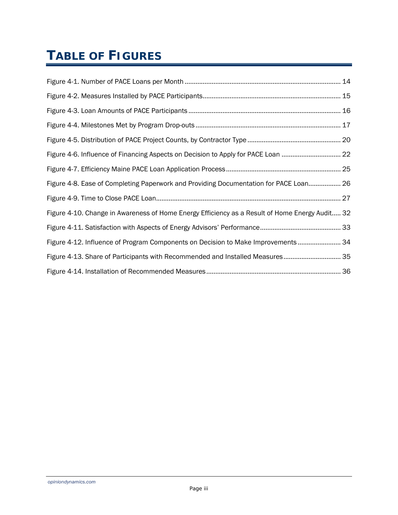# **TABLE OF FIGURES**

| Figure 4-6. Influence of Financing Aspects on Decision to Apply for PACE Loan  22              |
|------------------------------------------------------------------------------------------------|
|                                                                                                |
| Figure 4-8. Ease of Completing Paperwork and Providing Documentation for PACE Loan 26          |
|                                                                                                |
| Figure 4-10. Change in Awareness of Home Energy Efficiency as a Result of Home Energy Audit 32 |
|                                                                                                |
| Figure 4-12. Influence of Program Components on Decision to Make Improvements 34               |
| Figure 4-13. Share of Participants with Recommended and Installed Measures 35                  |
|                                                                                                |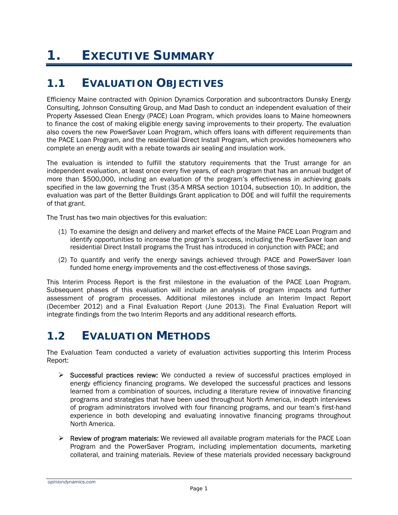# **1. EXECUTIVE SUMMARY**

## *1.1 EVALUATION OBJECTIVES*

Efficiency Maine contracted with Opinion Dynamics Corporation and subcontractors Dunsky Energy Consulting, Johnson Consulting Group, and Mad Dash to conduct an independent evaluation of their Property Assessed Clean Energy (PACE) Loan Program, which provides loans to Maine homeowners to finance the cost of making eligible energy saving improvements to their property. The evaluation also covers the new PowerSaver Loan Program, which offers loans with different requirements than the PACE Loan Program, and the residential Direct Install Program, which provides homeowners who complete an energy audit with a rebate towards air sealing and insulation work.

The evaluation is intended to fulfill the statutory requirements that the Trust arrange for an independent evaluation, at least once every five years, of each program that has an annual budget of more than \$500,000, including an evaluation of the program's effectiveness in achieving goals specified in the law governing the Trust (35-A MRSA section 10104, subsection 10). In addition, the evaluation was part of the Better Buildings Grant application to DOE and will fulfill the requirements of that grant.

The Trust has two main objectives for this evaluation:

- (1) To examine the design and delivery and market effects of the Maine PACE Loan Program and identify opportunities to increase the program's success, including the PowerSaver loan and residential Direct Install programs the Trust has introduced in conjunction with PACE; and
- (2) To quantify and verify the energy savings achieved through PACE and PowerSaver loan funded home energy improvements and the cost-effectiveness of those savings.

This Interim Process Report is the first milestone in the evaluation of the PACE Loan Program. Subsequent phases of this evaluation will include an analysis of program impacts and further assessment of program processes. Additional milestones include an Interim Impact Report (December 2012) and a Final Evaluation Report (June 2013). The Final Evaluation Report will integrate findings from the two Interim Reports and any additional research efforts.

# *1.2 EVALUATION METHODS*

The Evaluation Team conducted a variety of evaluation activities supporting this Interim Process Report:

- $\triangleright$  Successful practices review: We conducted a review of successful practices employed in energy efficiency financing programs. We developed the successful practices and lessons learned from a combination of sources, including a literature review of innovative financing programs and strategies that have been used throughout North America, in-depth interviews of program administrators involved with four financing programs, and our team's first-hand experience in both developing and evaluating innovative financing programs throughout North America.
- $\triangleright$  Review of program materials: We reviewed all available program materials for the PACE Loan Program and the PowerSaver Program, including implementation documents, marketing collateral, and training materials. Review of these materials provided necessary background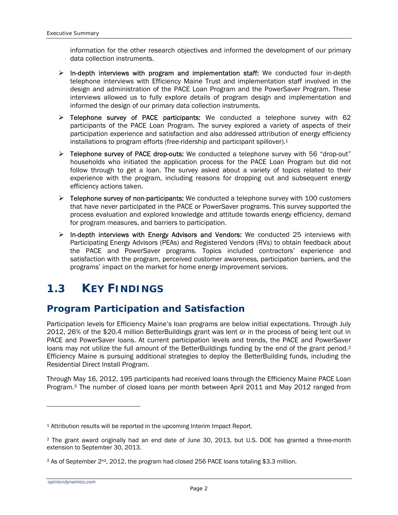information for the other research objectives and informed the development of our primary data collection instruments.

- $\triangleright$  In-depth interviews with program and implementation staff: We conducted four in-depth telephone interviews with Efficiency Maine Trust and implementation staff involved in the design and administration of the PACE Loan Program and the PowerSaver Program. These interviews allowed us to fully explore details of program design and implementation and informed the design of our primary data collection instruments.
- ¾ Telephone survey of PACE participants: We conducted a telephone survey with 62 participants of the PACE Loan Program. The survey explored a variety of aspects of their participation experience and satisfaction and also addressed attribution of energy efficiency installations to program efforts (free-ridership and participant spillover).1
- ¾ Telephone survey of PACE drop-outs: We conducted a telephone survey with 56 "drop-out" households who initiated the application process for the PACE Loan Program but did not follow through to get a loan. The survey asked about a variety of topics related to their experience with the program, including reasons for dropping out and subsequent energy efficiency actions taken.
- $\triangleright$  Telephone survey of non-participants: We conducted a telephone survey with 100 customers that have never participated in the PACE or PowerSaver programs. This survey supported the process evaluation and explored knowledge and attitude towards energy efficiency, demand for program measures, and barriers to participation.
- $\triangleright$  In-depth interviews with Energy Advisors and Vendors: We conducted 25 interviews with Participating Energy Advisors (PEAs) and Registered Vendors (RVs) to obtain feedback about the PACE and PowerSaver programs. Topics included contractors' experience and satisfaction with the program, perceived customer awareness, participation barriers, and the programs' impact on the market for home energy improvement services.

## *1.3 KEY FINDINGS*

## **Program Participation and Satisfaction**

Participation levels for Efficiency Maine's loan programs are below initial expectations. Through July 2012, 26% of the \$20.4 million BetterBuildings grant was lent or in the process of being lent out in PACE and PowerSaver loans. At current participation levels and trends, the PACE and PowerSaver loans may not utilize the full amount of the BetterBuildings funding by the end of the grant period.<sup>2</sup> Efficiency Maine is pursuing additional strategies to deploy the BetterBuilding funds, including the Residential Direct Install Program.

Through May 16, 2012, 195 participants had received loans through the Efficiency Maine PACE Loan Program.3 The number of closed loans per month between April 2011 and May 2012 ranged from

<sup>1</sup> Attribution results will be reported in the upcoming Interim Impact Report.

<sup>2</sup> The grant award originally had an end date of June 30, 2013, but U.S. DOE has granted a three-month extension to September 30, 2013.

<sup>&</sup>lt;sup>3</sup> As of September 2<sup>nd</sup>, 2012, the program had closed 256 PACE loans totaling \$3.3 million.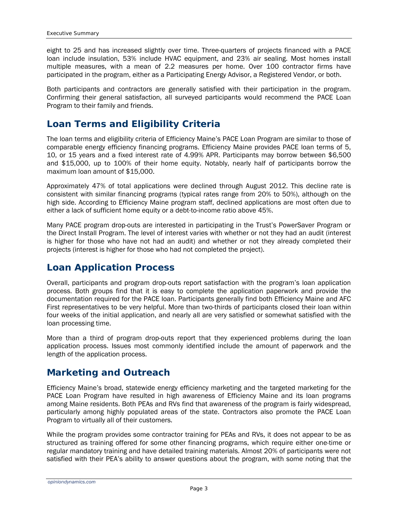eight to 25 and has increased slightly over time. Three-quarters of projects financed with a PACE loan include insulation, 53% include HVAC equipment, and 23% air sealing. Most homes install multiple measures, with a mean of 2.2 measures per home. Over 100 contractor firms have participated in the program, either as a Participating Energy Advisor, a Registered Vendor, or both.

Both participants and contractors are generally satisfied with their participation in the program. Confirming their general satisfaction, all surveyed participants would recommend the PACE Loan Program to their family and friends.

#### **Loan Terms and Eligibility Criteria**

The loan terms and eligibility criteria of Efficiency Maine's PACE Loan Program are similar to those of comparable energy efficiency financing programs. Efficiency Maine provides PACE loan terms of 5, 10, or 15 years and a fixed interest rate of 4.99% APR. Participants may borrow between \$6,500 and \$15,000, up to 100% of their home equity. Notably, nearly half of participants borrow the maximum loan amount of \$15,000.

Approximately 47% of total applications were declined through August 2012. This decline rate is consistent with similar financing programs (typical rates range from 20% to 50%), although on the high side. According to Efficiency Maine program staff, declined applications are most often due to either a lack of sufficient home equity or a debt-to-income ratio above 45%.

Many PACE program drop-outs are interested in participating in the Trust's PowerSaver Program or the Direct Install Program. The level of interest varies with whether or not they had an audit (interest is higher for those who have not had an audit) and whether or not they already completed their projects (interest is higher for those who had not completed the project).

#### **Loan Application Process**

Overall, participants and program drop-outs report satisfaction with the program's loan application process. Both groups find that it is easy to complete the application paperwork and provide the documentation required for the PACE loan. Participants generally find both Efficiency Maine and AFC First representatives to be very helpful. More than two-thirds of participants closed their loan within four weeks of the initial application, and nearly all are very satisfied or somewhat satisfied with the loan processing time.

More than a third of program drop-outs report that they experienced problems during the loan application process. Issues most commonly identified include the amount of paperwork and the length of the application process.

#### **Marketing and Outreach**

Efficiency Maine's broad, statewide energy efficiency marketing and the targeted marketing for the PACE Loan Program have resulted in high awareness of Efficiency Maine and its loan programs among Maine residents. Both PEAs and RVs find that awareness of the program is fairly widespread, particularly among highly populated areas of the state. Contractors also promote the PACE Loan Program to virtually all of their customers.

While the program provides some contractor training for PEAs and RVs, it does not appear to be as structured as training offered for some other financing programs, which require either one-time or regular mandatory training and have detailed training materials. Almost 20% of participants were not satisfied with their PEA's ability to answer questions about the program, with some noting that the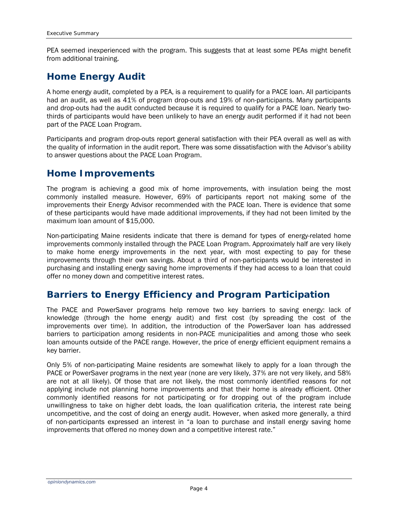PEA seemed inexperienced with the program. This suggests that at least some PEAs might benefit from additional training.

## **Home Energy Audit**

A home energy audit, completed by a PEA, is a requirement to qualify for a PACE loan. All participants had an audit, as well as 41% of program drop-outs and 19% of non-participants. Many participants and drop-outs had the audit conducted because it is required to qualify for a PACE loan. Nearly twothirds of participants would have been unlikely to have an energy audit performed if it had not been part of the PACE Loan Program.

Participants and program drop-outs report general satisfaction with their PEA overall as well as with the quality of information in the audit report. There was some dissatisfaction with the Advisor's ability to answer questions about the PACE Loan Program.

#### **Home Improvements**

The program is achieving a good mix of home improvements, with insulation being the most commonly installed measure. However, 69% of participants report not making some of the improvements their Energy Advisor recommended with the PACE loan. There is evidence that some of these participants would have made additional improvements, if they had not been limited by the maximum loan amount of \$15,000.

Non-participating Maine residents indicate that there is demand for types of energy-related home improvements commonly installed through the PACE Loan Program. Approximately half are very likely to make home energy improvements in the next year, with most expecting to pay for these improvements through their own savings. About a third of non-participants would be interested in purchasing and installing energy saving home improvements if they had access to a loan that could offer no money down and competitive interest rates.

#### **Barriers to Energy Efficiency and Program Participation**

The PACE and PowerSaver programs help remove two key barriers to saving energy: lack of knowledge (through the home energy audit) and first cost (by spreading the cost of the improvements over time). In addition, the introduction of the PowerSaver loan has addressed barriers to participation among residents in non-PACE municipalities and among those who seek loan amounts outside of the PACE range. However, the price of energy efficient equipment remains a key barrier.

Only 5% of non-participating Maine residents are somewhat likely to apply for a loan through the PACE or PowerSaver programs in the next year (none are very likely, 37% are not very likely, and 58% are not at all likely). Of those that are not likely, the most commonly identified reasons for not applying include not planning home improvements and that their home is already efficient. Other commonly identified reasons for not participating or for dropping out of the program include unwillingness to take on higher debt loads, the loan qualification criteria, the interest rate being uncompetitive, and the cost of doing an energy audit. However, when asked more generally, a third of non-participants expressed an interest in "a loan to purchase and install energy saving home improvements that offered no money down and a competitive interest rate."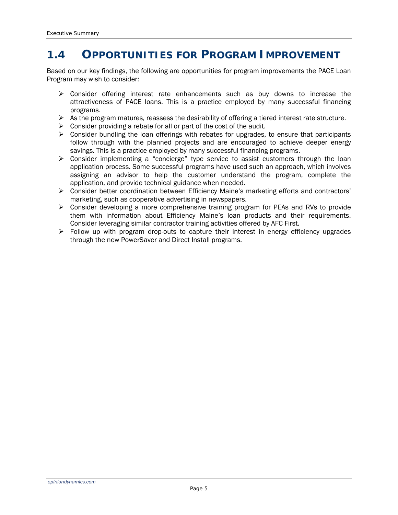## *1.4 OPPORTUNITIES FOR PROGRAM IMPROVEMENT*

Based on our key findings, the following are opportunities for program improvements the PACE Loan Program may wish to consider:

- $\triangleright$  Consider offering interest rate enhancements such as buy downs to increase the attractiveness of PACE loans. This is a practice employed by many successful financing programs.
- $\triangleright$  As the program matures, reassess the desirability of offering a tiered interest rate structure.
- $\triangleright$  Consider providing a rebate for all or part of the cost of the audit.
- $\triangleright$  Consider bundling the loan offerings with rebates for upgrades, to ensure that participants follow through with the planned projects and are encouraged to achieve deeper energy savings. This is a practice employed by many successful financing programs.
- $\triangleright$  Consider implementing a "concierge" type service to assist customers through the loan application process. Some successful programs have used such an approach, which involves assigning an advisor to help the customer understand the program, complete the application, and provide technical guidance when needed.
- ¾ Consider better coordination between Efficiency Maine's marketing efforts and contractors' marketing, such as cooperative advertising in newspapers.
- $\triangleright$  Consider developing a more comprehensive training program for PEAs and RVs to provide them with information about Efficiency Maine's loan products and their requirements. Consider leveraging similar contractor training activities offered by AFC First.
- $\triangleright$  Follow up with program drop-outs to capture their interest in energy efficiency upgrades through the new PowerSaver and Direct Install programs.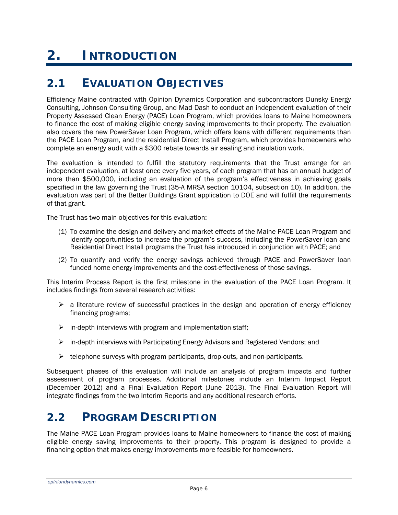# **2. INTRODUCTION**

## *2.1 EVALUATION OBJECTIVES*

Efficiency Maine contracted with Opinion Dynamics Corporation and subcontractors Dunsky Energy Consulting, Johnson Consulting Group, and Mad Dash to conduct an independent evaluation of their Property Assessed Clean Energy (PACE) Loan Program, which provides loans to Maine homeowners to finance the cost of making eligible energy saving improvements to their property. The evaluation also covers the new PowerSaver Loan Program, which offers loans with different requirements than the PACE Loan Program, and the residential Direct Install Program, which provides homeowners who complete an energy audit with a \$300 rebate towards air sealing and insulation work.

The evaluation is intended to fulfill the statutory requirements that the Trust arrange for an independent evaluation, at least once every five years, of each program that has an annual budget of more than \$500,000, including an evaluation of the program's effectiveness in achieving goals specified in the law governing the Trust (35-A MRSA section 10104, subsection 10). In addition, the evaluation was part of the Better Buildings Grant application to DOE and will fulfill the requirements of that grant.

The Trust has two main objectives for this evaluation:

- (1) To examine the design and delivery and market effects of the Maine PACE Loan Program and identify opportunities to increase the program's success, including the PowerSaver loan and Residential Direct Install programs the Trust has introduced in conjunction with PACE; and
- (2) To quantify and verify the energy savings achieved through PACE and PowerSaver loan funded home energy improvements and the cost-effectiveness of those savings.

This Interim Process Report is the first milestone in the evaluation of the PACE Loan Program. It includes findings from several research activities:

- $\triangleright$  a literature review of successful practices in the design and operation of energy efficiency financing programs;
- $\triangleright$  in-depth interviews with program and implementation staff;
- $\triangleright$  in-depth interviews with Participating Energy Advisors and Registered Vendors; and
- $\triangleright$  telephone surveys with program participants, drop-outs, and non-participants.

Subsequent phases of this evaluation will include an analysis of program impacts and further assessment of program processes. Additional milestones include an Interim Impact Report (December 2012) and a Final Evaluation Report (June 2013). The Final Evaluation Report will integrate findings from the two Interim Reports and any additional research efforts.

# *2.2 PROGRAM DESCRIPTION*

The Maine PACE Loan Program provides loans to Maine homeowners to finance the cost of making eligible energy saving improvements to their property. This program is designed to provide a financing option that makes energy improvements more feasible for homeowners.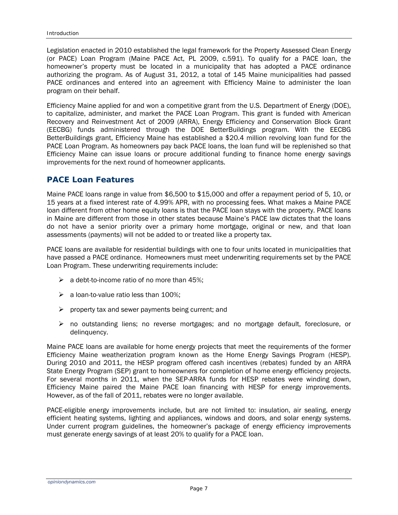Legislation enacted in 2010 established the legal framework for the Property Assessed Clean Energy (or PACE) Loan Program (Maine PACE Act, PL 2009, c.591). To qualify for a PACE loan, the homeowner's property must be located in a municipality that has adopted a PACE ordinance authorizing the program. As of August 31, 2012, a total of 145 Maine municipalities had passed PACE ordinances and entered into an agreement with Efficiency Maine to administer the loan program on their behalf.

Efficiency Maine applied for and won a competitive grant from the U.S. Department of Energy (DOE), to capitalize, administer, and market the PACE Loan Program. This grant is funded with American Recovery and Reinvestment Act of 2009 (ARRA), Energy Efficiency and Conservation Block Grant (EECBG) funds administered through the DOE BetterBuildings program. With the EECBG BetterBuildings grant, Efficiency Maine has established a \$20.4 million revolving loan fund for the PACE Loan Program. As homeowners pay back PACE loans, the loan fund will be replenished so that Efficiency Maine can issue loans or procure additional funding to finance home energy savings improvements for the next round of homeowner applicants.

#### *PACE Loan Features*

Maine PACE loans range in value from \$6,500 to \$15,000 and offer a repayment period of 5, 10, or 15 years at a fixed interest rate of 4.99% APR, with no processing fees. What makes a Maine PACE loan different from other home equity loans is that the PACE loan stays with the property. PACE loans in Maine are different from those in other states because Maine's PACE law dictates that the loans do not have a senior priority over a primary home mortgage, original or new, and that loan assessments (payments) will not be added to or treated like a property tax.

PACE loans are available for residential buildings with one to four units located in municipalities that have passed a PACE ordinance. Homeowners must meet underwriting requirements set by the PACE Loan Program. These underwriting requirements include:

- $\triangleright$  a debt-to-income ratio of no more than 45%:
- $\triangleright$  a loan-to-value ratio less than 100%:
- $\triangleright$  property tax and sewer payments being current; and
- $\triangleright$  no outstanding liens; no reverse mortgages; and no mortgage default, foreclosure, or delinquency.

Maine PACE loans are available for home energy projects that meet the requirements of the former Efficiency Maine weatherization program known as the Home Energy Savings Program (HESP). During 2010 and 2011, the HESP program offered cash incentives (rebates) funded by an ARRA State Energy Program (SEP) grant to homeowners for completion of home energy efficiency projects. For several months in 2011, when the SEP-ARRA funds for HESP rebates were winding down, Efficiency Maine paired the Maine PACE loan financing with HESP for energy improvements. However, as of the fall of 2011, rebates were no longer available.

PACE-eligible energy improvements include, but are not limited to: insulation, air sealing, energy efficient heating systems, lighting and appliances, windows and doors, and solar energy systems. Under current program guidelines, the homeowner's package of energy efficiency improvements must generate energy savings of at least 20% to qualify for a PACE loan.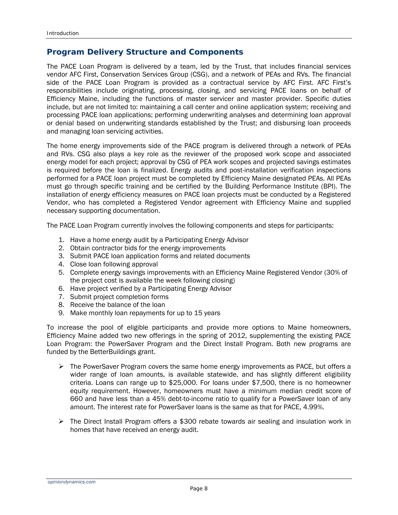#### *Program Delivery Structure and Components*

The PACE Loan Program is delivered by a team, led by the Trust, that includes financial services vendor AFC First, Conservation Services Group (CSG), and a network of PEAs and RVs. The financial side of the PACE Loan Program is provided as a contractual service by AFC First. AFC First's responsibilities include originating, processing, closing, and servicing PACE loans on behalf of Efficiency Maine, including the functions of master servicer and master provider. Specific duties include, but are not limited to: maintaining a call center and online application system; receiving and processing PACE loan applications; performing underwriting analyses and determining loan approval or denial based on underwriting standards established by the Trust; and disbursing loan proceeds and managing loan servicing activities.

The home energy improvements side of the PACE program is delivered through a network of PEAs and RVs. CSG also plays a key role as the reviewer of the proposed work scope and associated energy model for each project; approval by CSG of PEA work scopes and projected savings estimates is required before the loan is finalized. Energy audits and post-installation verification inspections performed for a PACE loan project must be completed by Efficiency Maine designated PEAs. All PEAs must go through specific training and be certified by the Building Performance Institute (BPI). The installation of energy efficiency measures on PACE loan projects must be conducted by a Registered Vendor, who has completed a Registered Vendor agreement with Efficiency Maine and supplied necessary supporting documentation.

The PACE Loan Program currently involves the following components and steps for participants:

- 1. Have a home energy audit by a Participating Energy Advisor
- 2. Obtain contractor bids for the energy improvements
- 3. Submit PACE loan application forms and related documents
- 4. Close loan following approval
- 5. Complete energy savings improvements with an Efficiency Maine Registered Vendor (30% of the project cost is available the week following closing)
- 6. Have project verified by a Participating Energy Advisor
- 7. Submit project completion forms
- 8. Receive the balance of the loan
- 9. Make monthly loan repayments for up to 15 years

To increase the pool of eligible participants and provide more options to Maine homeowners, Efficiency Maine added two new offerings in the spring of 2012, supplementing the existing PACE Loan Program: the PowerSaver Program and the Direct Install Program. Both new programs are funded by the BetterBuildings grant.

- $\triangleright$  The PowerSaver Program covers the same home energy improvements as PACE, but offers a wider range of loan amounts, is available statewide, and has slightly different eligibility criteria. Loans can range up to \$25,000. For loans under \$7,500, there is no homeowner equity requirement. However, homeowners must have a minimum median credit score of 660 and have less than a 45% debt-to-income ratio to qualify for a PowerSaver loan of any amount. The interest rate for PowerSaver loans is the same as that for PACE, 4.99%.
- ¾ The Direct Install Program offers a \$300 rebate towards air sealing and insulation work in homes that have received an energy audit.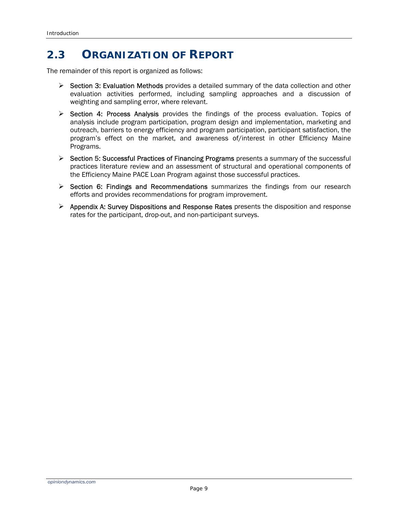# *2.3 ORGANIZATION OF REPORT*

The remainder of this report is organized as follows:

- $\triangleright$  Section 3: Evaluation Methods provides a detailed summary of the data collection and other evaluation activities performed, including sampling approaches and a discussion of weighting and sampling error, where relevant.
- $\triangleright$  Section 4: Process Analysis provides the findings of the process evaluation. Topics of analysis include program participation, program design and implementation, marketing and outreach, barriers to energy efficiency and program participation, participant satisfaction, the program's effect on the market, and awareness of/interest in other Efficiency Maine Programs.
- $\triangleright$  Section 5: Successful Practices of Financing Programs presents a summary of the successful practices literature review and an assessment of structural and operational components of the Efficiency Maine PACE Loan Program against those successful practices.
- $\triangleright$  Section 6: Findings and Recommendations summarizes the findings from our research efforts and provides recommendations for program improvement.
- $\triangleright$  Appendix A: Survey Dispositions and Response Rates presents the disposition and response rates for the participant, drop-out, and non-participant surveys.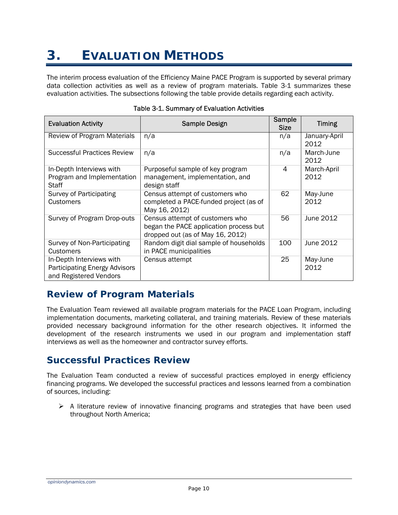# **3. EVALUATION METHODS**

The interim process evaluation of the Efficiency Maine PACE Program is supported by several primary data collection activities as well as a review of program materials. Table 3-1 summarizes these evaluation activities. The subsections following the table provide details regarding each activity.

| <b>Evaluation Activity</b>                                                                 | <b>Sample Design</b>                                                                                          | Sample<br><b>Size</b> | <b>Timing</b>         |
|--------------------------------------------------------------------------------------------|---------------------------------------------------------------------------------------------------------------|-----------------------|-----------------------|
| <b>Review of Program Materials</b>                                                         | n/a                                                                                                           | n/a                   | January-April<br>2012 |
| <b>Successful Practices Review</b>                                                         | n/a                                                                                                           | n/a                   | March-June<br>2012    |
| In-Depth Interviews with<br>Program and Implementation<br>Staff                            | Purposeful sample of key program<br>management, implementation, and<br>design staff                           | 4                     | March-April<br>2012   |
| <b>Survey of Participating</b><br>Customers                                                | Census attempt of customers who<br>completed a PACE-funded project (as of<br>May 16, 2012)                    | 62                    | May-June<br>2012      |
| Survey of Program Drop-outs                                                                | Census attempt of customers who<br>began the PACE application process but<br>dropped out (as of May 16, 2012) | 56                    | June 2012             |
| Survey of Non-Participating<br>Customers                                                   | Random digit dial sample of households<br>in PACE municipalities                                              | 100                   | June 2012             |
| In-Depth Interviews with<br><b>Participating Energy Advisors</b><br>and Registered Vendors | Census attempt                                                                                                | 25                    | May-June<br>2012      |

#### Table 3-1. Summary of Evaluation Activities

### **Review of Program Materials**

The Evaluation Team reviewed all available program materials for the PACE Loan Program, including implementation documents, marketing collateral, and training materials. Review of these materials provided necessary background information for the other research objectives. It informed the development of the research instruments we used in our program and implementation staff interviews as well as the homeowner and contractor survey efforts.

### **Successful Practices Review**

The Evaluation Team conducted a review of successful practices employed in energy efficiency financing programs. We developed the successful practices and lessons learned from a combination of sources, including:

 $\triangleright$  A literature review of innovative financing programs and strategies that have been used throughout North America;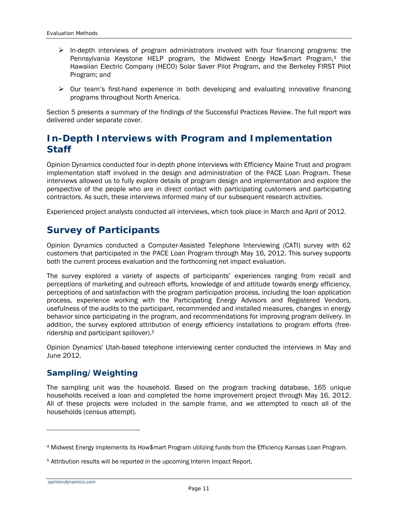- ¾ In-depth interviews of program administrators involved with four financing programs: the Pennsylvania Keystone HELP program, the Midwest Energy How\$mart Program,4 the Hawaiian Electric Company (HECO) Solar Saver Pilot Program, and the Berkeley FIRST Pilot Program; and
- $\triangleright$  Our team's first-hand experience in both developing and evaluating innovative financing programs throughout North America.

Section 5 presents a summary of the findings of the Successful Practices Review. The full report was delivered under separate cover.

#### **In-Depth Interviews with Program and Implementation Staff**

Opinion Dynamics conducted four in-depth phone interviews with Efficiency Maine Trust and program implementation staff involved in the design and administration of the PACE Loan Program. These interviews allowed us to fully explore details of program design and implementation and explore the perspective of the people who are in direct contact with participating customers and participating contractors. As such, these interviews informed many of our subsequent research activities.

Experienced project analysts conducted all interviews, which took place in March and April of 2012.

### **Survey of Participants**

Opinion Dynamics conducted a Computer-Assisted Telephone Interviewing (CATI) survey with 62 customers that participated in the PACE Loan Program through May 16, 2012. This survey supports both the current process evaluation and the forthcoming net impact evaluation.

The survey explored a variety of aspects of participants' experiences ranging from recall and perceptions of marketing and outreach efforts, knowledge of and attitude towards energy efficiency, perceptions of and satisfaction with the program participation process, including the loan application process, experience working with the Participating Energy Advisors and Registered Vendors, usefulness of the audits to the participant, recommended and installed measures, changes in energy behavior since participating in the program, and recommendations for improving program delivery. In addition, the survey explored attribution of energy efficiency installations to program efforts (freeridership and participant spillover).5

Opinion Dynamics' Utah-based telephone interviewing center conducted the interviews in May and June 2012.

#### *Sampling/Weighting*

The sampling unit was the household. Based on the program tracking database, 165 unique households received a loan and completed the home improvement project through May 16, 2012. All of these projects were included in the sample frame, and we attempted to reach all of the households (census attempt).

<sup>4</sup> Midwest Energy implements its How\$mart Program utilizing funds from the Efficiency Kansas Loan Program.

<sup>5</sup> Attribution results will be reported in the upcoming Interim Impact Report.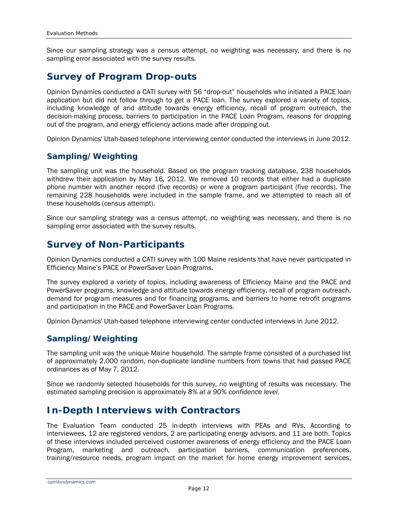Since our sampling strategy was a census attempt, no weighting was necessary, and there is no sampling error associated with the survey results.

#### **Survey of Program Drop-outs**

Opinion Dynamics conducted a CATI survey with 56 "drop-out" households who initiated a PACE loan application but did not follow through to get a PACE loan. The survey explored a variety of topics, including knowledge of and attitude towards energy efficiency, recall of program outreach, the decision-making process, barriers to participation in the PACE Loan Program, reasons for dropping out of the program, and energy efficiency actions made after dropping out.

Opinion Dynamics' Utah-based telephone interviewing center conducted the interviews in June 2012.

#### *Sampling/Weighting*

The sampling unit was the household. Based on the program tracking database, 238 households withdrew their application by May 16, 2012. We removed 10 records that either had a duplicate phone number with another record (five records) or were a program participant (five records). The remaining 228 households were included in the sample frame, and we attempted to reach all of these households (census attempt).

Since our sampling strategy was a census attempt, no weighting was necessary, and there is no sampling error associated with the survey results.

#### **Survey of Non-Participants**

Opinion Dynamics conducted a CATI survey with 100 Maine residents that have never participated in Efficiency Maine's PACE or PowerSaver Loan Programs.

The survey explored a variety of topics, including awareness of Efficiency Maine and the PACE and PowerSaver programs, knowledge and attitude towards energy efficiency, recall of program outreach, demand for program measures and for financing programs, and barriers to home retrofit programs and participation in the PACE and PowerSaver Loan Programs.

Opinion Dynamics' Utah-based telephone interviewing center conducted interviews in June 2012.

#### *Sampling/Weighting*

The sampling unit was the unique Maine household. The sample frame consisted of a purchased list of approximately 2,000 random, non-duplicate landline numbers from towns that had passed PACE ordinances as of May 7, 2012.

Since we randomly selected households for this survey, no weighting of results was necessary. The estimated sampling precision is approximately *8% at a 90% confidence level*.

#### **In-Depth Interviews with Contractors**

The Evaluation Team conducted 25 in-depth interviews with PEAs and RVs. According to interviewees, 12 are registered vendors, 2 are participating energy advisors, and 11 are both. Topics of these interviews included perceived customer awareness of energy efficiency and the PACE Loan Program, marketing and outreach, participation barriers, communication preferences, training/resource needs, program impact on the market for home energy improvement services,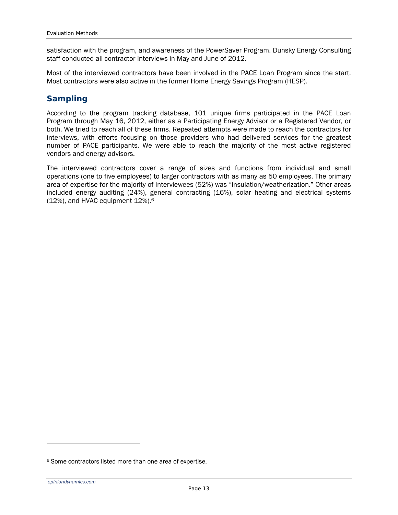satisfaction with the program, and awareness of the PowerSaver Program. Dunsky Energy Consulting staff conducted all contractor interviews in May and June of 2012.

Most of the interviewed contractors have been involved in the PACE Loan Program since the start. Most contractors were also active in the former Home Energy Savings Program (HESP).

#### *Sampling*

According to the program tracking database, 101 unique firms participated in the PACE Loan Program through May 16, 2012, either as a Participating Energy Advisor or a Registered Vendor, or both. We tried to reach all of these firms. Repeated attempts were made to reach the contractors for interviews, with efforts focusing on those providers who had delivered services for the greatest number of PACE participants. We were able to reach the majority of the most active registered vendors and energy advisors.

The interviewed contractors cover a range of sizes and functions from individual and small operations (one to five employees) to larger contractors with as many as 50 employees. The primary area of expertise for the majority of interviewees (52%) was "insulation/weatherization." Other areas included energy auditing (24%), general contracting (16%), solar heating and electrical systems (12%), and HVAC equipment 12%).6

 $\overline{a}$ 

<sup>6</sup> Some contractors listed more than one area of expertise.

*opiniondynamics.com*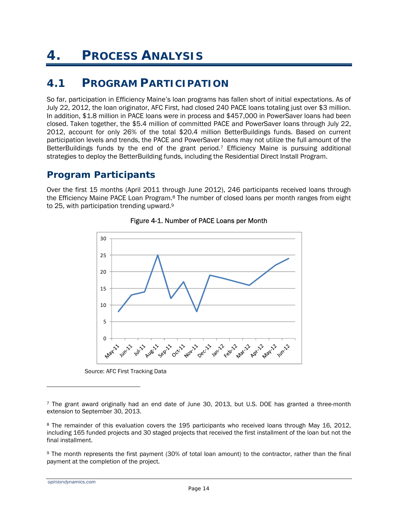# **4. PROCESS ANALYSIS**

## *4.1 PROGRAM PARTICIPATION*

So far, participation in Efficiency Maine's loan programs has fallen short of initial expectations. As of July 22, 2012, the loan originator, AFC First, had closed 240 PACE loans totaling just over \$3 million. In addition, \$1.8 million in PACE loans were in process and \$457,000 in PowerSaver loans had been closed. Taken together, the \$5.4 million of committed PACE and PowerSaver loans through July 22, 2012, account for only 26% of the total \$20.4 million BetterBuildings funds. Based on current participation levels and trends, the PACE and PowerSaver loans may not utilize the full amount of the BetterBuildings funds by the end of the grant period.7 Efficiency Maine is pursuing additional strategies to deploy the BetterBuilding funds, including the Residential Direct Install Program.

### **Program Participants**

Over the first 15 months (April 2011 through June 2012), 246 participants received loans through the Efficiency Maine PACE Loan Program.<sup>8</sup> The number of closed loans per month ranges from eight to 25, with participation trending upward.<sup>9</sup>



#### Figure 4-1. Number of PACE Loans per Month

Source: AFC First Tracking Data

<sup>7</sup> The grant award originally had an end date of June 30, 2013, but U.S. DOE has granted a three-month extension to September 30, 2013.

<sup>8</sup> The remainder of this evaluation covers the 195 participants who received loans through May 16, 2012, including 165 funded projects and 30 staged projects that received the first installment of the loan but not the final installment.

<sup>9</sup> The month represents the first payment (30% of total loan amount) to the contractor, rather than the final payment at the completion of the project.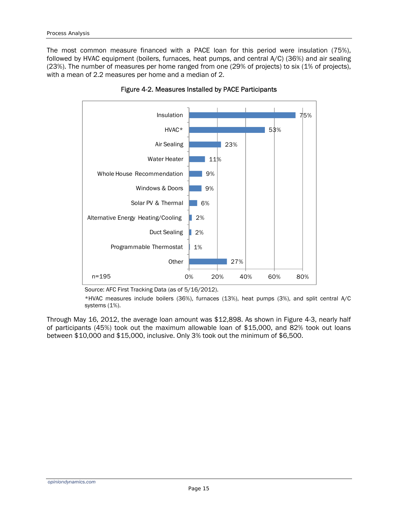The most common measure financed with a PACE loan for this period were insulation (75%), followed by HVAC equipment (boilers, furnaces, heat pumps, and central A/C) (36%) and air sealing (23%). The number of measures per home ranged from one (29% of projects) to six (1% of projects), with a mean of 2.2 measures per home and a median of 2.





Source: AFC First Tracking Data (as of 5/16/2012).

\*HVAC measures include boilers (36%), furnaces (13%), heat pumps (3%), and split central A/C systems (1%).

Through May 16, 2012, the average loan amount was \$12,898. As shown in Figure 4-3, nearly half of participants (45%) took out the maximum allowable loan of \$15,000, and 82% took out loans between \$10,000 and \$15,000, inclusive. Only 3% took out the minimum of \$6,500.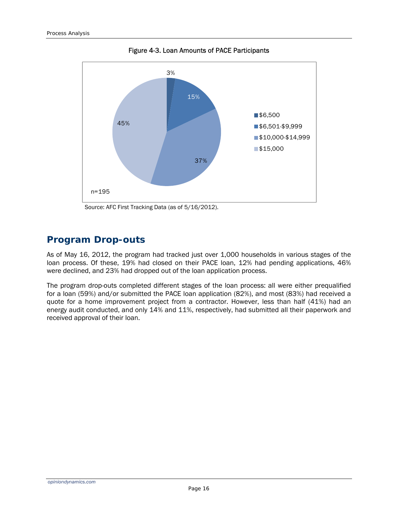

Figure 4-3. Loan Amounts of PACE Participants

Source: AFC First Tracking Data (as of 5/16/2012).

#### **Program Drop-outs**

As of May 16, 2012, the program had tracked just over 1,000 households in various stages of the loan process. Of these, 19% had closed on their PACE loan, 12% had pending applications, 46% were declined, and 23% had dropped out of the loan application process.

The program drop-outs completed different stages of the loan process: all were either prequalified for a loan (59%) and/or submitted the PACE loan application (82%), and most (83%) had received a quote for a home improvement project from a contractor. However, less than half (41%) had an energy audit conducted, and only 14% and 11%, respectively, had submitted all their paperwork and received approval of their loan.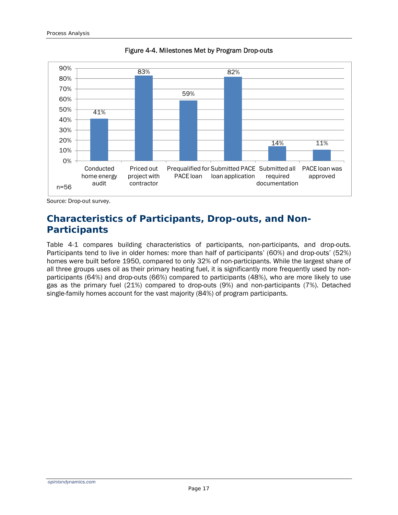

Figure 4-4. Milestones Met by Program Drop-outs

Source: Drop-out survey.

### **Characteristics of Participants, Drop-outs, and Non-Participants**

Table 4-1 compares building characteristics of participants, non-participants, and drop-outs. Participants tend to live in older homes: more than half of participants' (60%) and drop-outs' (52%) homes were built before 1950, compared to only 32% of non-participants. While the largest share of all three groups uses oil as their primary heating fuel, it is significantly more frequently used by nonparticipants (64%) and drop-outs (66%) compared to participants (48%), who are more likely to use gas as the primary fuel (21%) compared to drop-outs (9%) and non-participants (7%). Detached single-family homes account for the vast majority (84%) of program participants.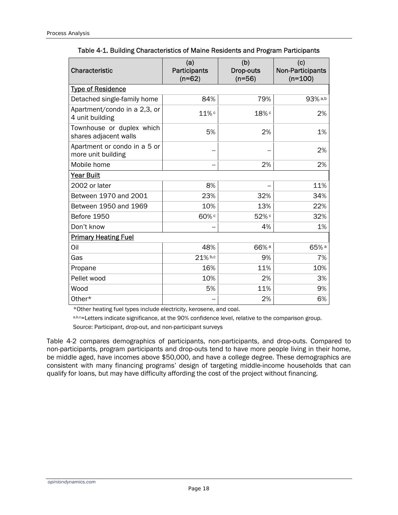| Characteristic                                     | (a)<br>Participants<br>$(n=62)$ | (b)<br>Drop-outs<br>$(n=56)$ | (c)<br>Non-Participants<br>$(n=100)$ |
|----------------------------------------------------|---------------------------------|------------------------------|--------------------------------------|
| <b>Type of Residence</b>                           |                                 |                              |                                      |
| Detached single-family home                        | 84%                             | 79%                          | 93% a,b                              |
| Apartment/condo in a 2,3, or<br>4 unit building    | 11%c                            | 18%c                         | 2%                                   |
| Townhouse or duplex which<br>shares adjacent walls | 5%                              | 2%                           | 1%                                   |
| Apartment or condo in a 5 or<br>more unit building |                                 |                              | 2%                                   |
| Mobile home                                        |                                 | 2%                           | 2%                                   |
| Year Built                                         |                                 |                              |                                      |
| 2002 or later                                      | 8%                              |                              | 11%                                  |
| Between 1970 and 2001                              | 23%                             | 32%                          | 34%                                  |
| Between 1950 and 1969                              | 10%                             | 13%                          | 22%                                  |
| Before 1950                                        | 60%c                            | 52%c                         | 32%                                  |
| Don't know                                         |                                 | 4%                           | 1%                                   |
| <b>Primary Heating Fuel</b>                        |                                 |                              |                                      |
| Oil                                                | 48%                             | 66% <sup>a</sup>             | 65% <sup>a</sup>                     |
| Gas                                                | 21% b,c                         | 9%                           | 7%                                   |
| Propane                                            | 16%                             | 11%                          | 10%                                  |
| Pellet wood                                        | 10%                             | 2%                           | 3%                                   |
| Wood                                               | 5%                              | 11%                          | 9%                                   |
| Other*                                             |                                 | 2%                           | 6%                                   |

Table 4-1. Building Characteristics of Maine Residents and Program Participants

\*Other heating fuel types include electricity, kerosene, and coal.

a,b,c=Letters indicate significance, at the 90% confidence level, relative to the comparison group.

Source: Participant, drop-out, and non-participant surveys

Table 4-2 compares demographics of participants, non-participants, and drop-outs. Compared to non-participants, program participants and drop-outs tend to have more people living in their home, be middle aged, have incomes above \$50,000, and have a college degree. These demographics are consistent with many financing programs' design of targeting middle-income households that can qualify for loans, but may have difficulty affording the cost of the project without financing.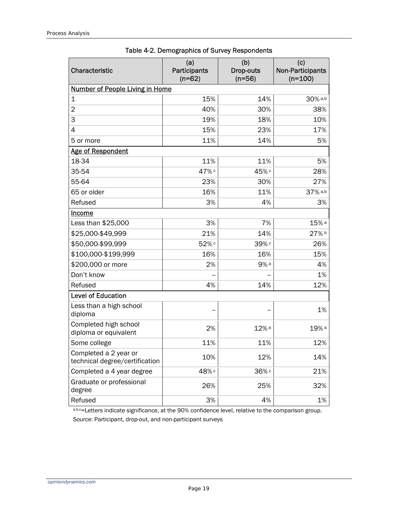| Characteristic                                          | (a)<br>Participants<br>$(n=62)$ | (b)<br>Drop-outs<br>$(n=56)$ | (c)<br>Non-Participants<br>$(n=100)$ |  |  |
|---------------------------------------------------------|---------------------------------|------------------------------|--------------------------------------|--|--|
| <b>Number of People Living in Home</b>                  |                                 |                              |                                      |  |  |
| 1                                                       | 15%                             | 14%                          | 30% a,b                              |  |  |
| $\overline{2}$                                          | 40%                             | 30%                          | 38%                                  |  |  |
| 3                                                       | 19%                             | 18%                          | 10%                                  |  |  |
| 4                                                       | 15%                             | 23%                          | 17%                                  |  |  |
| 5 or more                                               | 11%                             | 14%                          | 5%                                   |  |  |
| <b>Age of Respondent</b>                                |                                 |                              |                                      |  |  |
| 18-34                                                   | 11%                             | 11%                          | 5%                                   |  |  |
| 35-54                                                   | 47%c                            | 45%c                         | 28%                                  |  |  |
| 55-64                                                   | 23%                             | 30%                          | 27%                                  |  |  |
| 65 or older                                             | 16%                             | 11%                          | 37% a,b                              |  |  |
| Refused                                                 | 3%                              | 4%                           | 3%                                   |  |  |
| Income                                                  |                                 |                              |                                      |  |  |
| Less than \$25,000                                      | 3%                              | 7%                           | 15% <sup>a</sup>                     |  |  |
| \$25,000-\$49,999                                       | 21%                             | 14%                          | 27%b                                 |  |  |
| \$50,000-\$99,999                                       | 52%c                            | 39%c                         | 26%                                  |  |  |
| \$100,000-\$199,999                                     | 16%                             | 16%                          | 15%                                  |  |  |
| \$200,000 or more                                       | 2%                              | $9%$ a                       | 4%                                   |  |  |
| Don't know                                              |                                 |                              | 1%                                   |  |  |
| Refused                                                 | 4%                              | 14%                          | 12%                                  |  |  |
| <b>Level of Education</b>                               |                                 |                              |                                      |  |  |
| Less than a high school<br>diploma                      |                                 |                              | 1%                                   |  |  |
| Completed high school<br>diploma or equivalent          | 2%                              | 12% <sup>a</sup>             | 19% a                                |  |  |
| Some college                                            | 11%                             | 11%                          | 12%                                  |  |  |
| Completed a 2 year or<br>technical degree/certification | 10%                             | 12%                          | 14%                                  |  |  |
| Completed a 4 year degree                               | 48%c                            | 36%c                         | 21%                                  |  |  |
| Graduate or professional<br>degree                      | 26%                             | 25%                          | 32%                                  |  |  |
| Refused                                                 | 3%                              | 4%                           | 1%                                   |  |  |

| Table 4-2. Demographics of Survey Respondents |  |  |  |  |
|-----------------------------------------------|--|--|--|--|
|-----------------------------------------------|--|--|--|--|

a,b,c=Letters indicate significance, at the 90% confidence level, relative to the comparison group. Source: Participant, drop-out, and non-participant surveys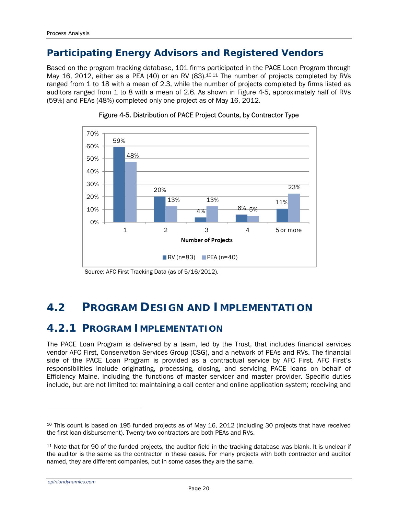### **Participating Energy Advisors and Registered Vendors**

Based on the program tracking database, 101 firms participated in the PACE Loan Program through May 16, 2012, either as a PEA (40) or an RV (83).10,11 The number of projects completed by RVs ranged from 1 to 18 with a mean of 2.3, while the number of projects completed by firms listed as auditors ranged from 1 to 8 with a mean of 2.6. As shown in Figure 4-5, approximately half of RVs (59%) and PEAs (48%) completed only one project as of May 16, 2012.





## *4.2 PROGRAM DESIGN AND IMPLEMENTATION*

## **4.2.1 PROGRAM IMPLEMENTATION**

The PACE Loan Program is delivered by a team, led by the Trust, that includes financial services vendor AFC First, Conservation Services Group (CSG), and a network of PEAs and RVs. The financial side of the PACE Loan Program is provided as a contractual service by AFC First. AFC First's responsibilities include originating, processing, closing, and servicing PACE loans on behalf of Efficiency Maine, including the functions of master servicer and master provider. Specific duties include, but are not limited to: maintaining a call center and online application system; receiving and

Source: AFC First Tracking Data (as of 5/16/2012).

<sup>10</sup> This count is based on 195 funded projects as of May 16, 2012 (including 30 projects that have received the first loan disbursement). Twenty-two contractors are both PEAs and RVs.

<sup>11</sup> Note that for 90 of the funded projects, the auditor field in the tracking database was blank. It is unclear if the auditor is the same as the contractor in these cases. For many projects with both contractor and auditor named, they are different companies, but in some cases they are the same.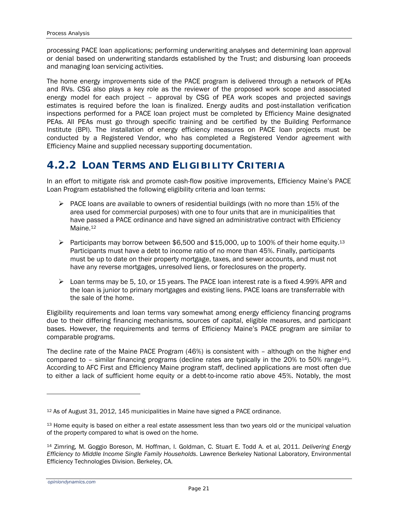processing PACE loan applications; performing underwriting analyses and determining loan approval or denial based on underwriting standards established by the Trust; and disbursing loan proceeds and managing loan servicing activities.

The home energy improvements side of the PACE program is delivered through a network of PEAs and RVs. CSG also plays a key role as the reviewer of the proposed work scope and associated energy model for each project – approval by CSG of PEA work scopes and projected savings estimates is required before the loan is finalized. Energy audits and post-installation verification inspections performed for a PACE loan project must be completed by Efficiency Maine designated PEAs. All PEAs must go through specific training and be certified by the Building Performance Institute (BPI). The installation of energy efficiency measures on PACE loan projects must be conducted by a Registered Vendor, who has completed a Registered Vendor agreement with Efficiency Maine and supplied necessary supporting documentation.

## **4.2.2 LOAN TERMS AND ELIGIBILITY CRITERIA**

In an effort to mitigate risk and promote cash-flow positive improvements, Efficiency Maine's PACE Loan Program established the following eligibility criteria and loan terms:

- $\triangleright$  PACE loans are available to owners of residential buildings (with no more than 15% of the area used for commercial purposes) with one to four units that are in municipalities that have passed a PACE ordinance and have signed an administrative contract with Efficiency Maine.<sup>12</sup>
- Exercicipants may borrow between \$6,500 and \$15,000, up to 100% of their home equity.<sup>13</sup> Participants must have a debt to income ratio of no more than 45%. Finally, participants must be up to date on their property mortgage, taxes, and sewer accounts, and must not have any reverse mortgages, unresolved liens, or foreclosures on the property.
- $\triangleright$  Loan terms may be 5, 10, or 15 years. The PACE loan interest rate is a fixed 4.99% APR and the loan is junior to primary mortgages and existing liens. PACE loans are transferrable with the sale of the home.

Eligibility requirements and loan terms vary somewhat among energy efficiency financing programs due to their differing financing mechanisms, sources of capital, eligible measures, and participant bases. However, the requirements and terms of Efficiency Maine's PACE program are similar to comparable programs.

The decline rate of the Maine PACE Program (46%) is consistent with – although on the higher end compared to  $-$  similar financing programs (decline rates are typically in the 20% to 50% range $14$ ). According to AFC First and Efficiency Maine program staff, declined applications are most often due to either a lack of sufficient home equity or a debt-to-income ratio above 45%. Notably, the most

<sup>12</sup> As of August 31, 2012, 145 municipalities in Maine have signed a PACE ordinance.

<sup>13</sup> Home equity is based on either a real estate assessment less than two years old or the municipal valuation of the property compared to what is owed on the home.

<sup>14</sup> Zimring, M. Goggio Boreson, M. Hoffman, I. Goldman, C. Stuart E. Todd A. et al, 2011. *Delivering Energy Efficiency to Middle Income Single Family Households*. Lawrence Berkeley National Laboratory, Environmental Efficiency Technologies Division. Berkeley, CA.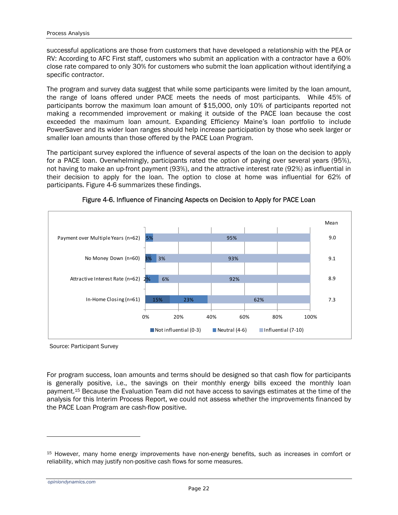successful applications are those from customers that have developed a relationship with the PEA or RV: According to AFC First staff, customers who submit an application with a contractor have a 60% close rate compared to only 30% for customers who submit the loan application without identifying a specific contractor.

The program and survey data suggest that while some participants were limited by the loan amount, the range of loans offered under PACE meets the needs of most participants. While 45% of participants borrow the maximum loan amount of \$15,000, only 10% of participants reported not making a recommended improvement or making it outside of the PACE loan because the cost exceeded the maximum loan amount. Expanding Efficiency Maine's loan portfolio to include PowerSaver and its wider loan ranges should help increase participation by those who seek larger or smaller loan amounts than those offered by the PACE Loan Program.

The participant survey explored the influence of several aspects of the loan on the decision to apply for a PACE loan. Overwhelmingly, participants rated the option of paying over several years (95%), not having to make an up-front payment (93%), and the attractive interest rate (92%) as influential in their decision to apply for the loan. The option to close at home was influential for 62% of participants. Figure 4-6 summarizes these findings.



Figure 4-6. Influence of Financing Aspects on Decision to Apply for PACE Loan

Source: Participant Survey

For program success, loan amounts and terms should be designed so that cash flow for participants is generally positive, i.e., the savings on their monthly energy bills exceed the monthly loan payment.15 Because the Evaluation Team did not have access to savings estimates at the time of the analysis for this Interim Process Report, we could not assess whether the improvements financed by the PACE Loan Program are cash-flow positive.

<sup>15</sup> However, many home energy improvements have non-energy benefits, such as increases in comfort or reliability, which may justify non-positive cash flows for some measures.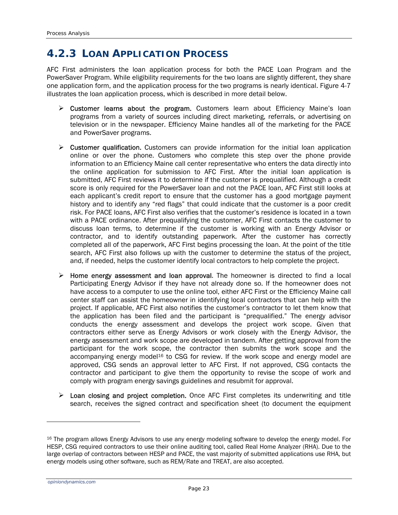## **4.2.3 LOAN APPLICATION PROCESS**

AFC First administers the loan application process for both the PACE Loan Program and the PowerSaver Program. While eligibility requirements for the two loans are slightly different, they share one application form, and the application process for the two programs is nearly identical. Figure 4-7 illustrates the loan application process, which is described in more detail below.

- $\triangleright$  Customer learns about the program. Customers learn about Efficiency Maine's loan programs from a variety of sources including direct marketing, referrals, or advertising on television or in the newspaper. Efficiency Maine handles all of the marketing for the PACE and PowerSaver programs.
- $\triangleright$  Customer qualification. Customers can provide information for the initial loan application online or over the phone. Customers who complete this step over the phone provide information to an Efficiency Maine call center representative who enters the data directly into the online application for submission to AFC First. After the initial loan application is submitted, AFC First reviews it to determine if the customer is prequalified. Although a credit score is only required for the PowerSaver loan and not the PACE loan, AFC First still looks at each applicant's credit report to ensure that the customer has a good mortgage payment history and to identify any "red flags" that could indicate that the customer is a poor credit risk. For PACE loans, AFC First also verifies that the customer's residence is located in a town with a PACE ordinance. After prequalifying the customer, AFC First contacts the customer to discuss loan terms, to determine if the customer is working with an Energy Advisor or contractor, and to identify outstanding paperwork. After the customer has correctly completed all of the paperwork, AFC First begins processing the loan. At the point of the title search, AFC First also follows up with the customer to determine the status of the project, and, if needed, helps the customer identify local contractors to help complete the project.
- ¾ Home energy assessment and loan approval. The homeowner is directed to find a local Participating Energy Advisor if they have not already done so. If the homeowner does not have access to a computer to use the online tool, either AFC First or the Efficiency Maine call center staff can assist the homeowner in identifying local contractors that can help with the project. If applicable, AFC First also notifies the customer's contractor to let them know that the application has been filed and the participant is "prequalified." The energy advisor conducts the energy assessment and develops the project work scope. Given that contractors either serve as Energy Advisors or work closely with the Energy Advisor, the energy assessment and work scope are developed in tandem. After getting approval from the participant for the work scope, the contractor then submits the work scope and the accompanying energy model<sup>16</sup> to CSG for review. If the work scope and energy model are approved, CSG sends an approval letter to AFC First. If not approved, CSG contacts the contractor and participant to give them the opportunity to revise the scope of work and comply with program energy savings guidelines and resubmit for approval.
- $\triangleright$  Loan closing and project completion. Once AFC First completes its underwriting and title search, receives the signed contract and specification sheet (to document the equipment

<sup>&</sup>lt;sup>16</sup> The program allows Energy Advisors to use any energy modeling software to develop the energy model. For HESP, CSG required contractors to use their online auditing tool, called Real Home Analyzer (RHA). Due to the large overlap of contractors between HESP and PACE, the vast majority of submitted applications use RHA, but energy models using other software, such as REM/Rate and TREAT, are also accepted.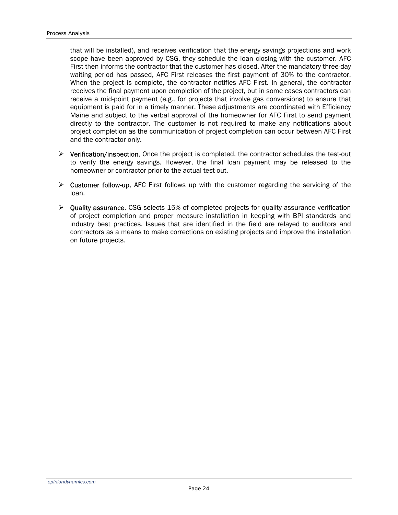that will be installed), and receives verification that the energy savings projections and work scope have been approved by CSG, they schedule the loan closing with the customer. AFC First then informs the contractor that the customer has closed. After the mandatory three-day waiting period has passed, AFC First releases the first payment of 30% to the contractor. When the project is complete, the contractor notifies AFC First. In general, the contractor receives the final payment upon completion of the project, but in some cases contractors can receive a mid-point payment (e.g., for projects that involve gas conversions) to ensure that equipment is paid for in a timely manner. These adjustments are coordinated with Efficiency Maine and subject to the verbal approval of the homeowner for AFC First to send payment directly to the contractor. The customer is not required to make any notifications about project completion as the communication of project completion can occur between AFC First and the contractor only.

- $\triangleright$  Verification/inspection. Once the project is completed, the contractor schedules the test-out to verify the energy savings. However, the final loan payment may be released to the homeowner or contractor prior to the actual test-out.
- $\triangleright$  Customer follow-up. AFC First follows up with the customer regarding the servicing of the loan.
- $\triangleright$  Quality assurance. CSG selects 15% of completed projects for quality assurance verification of project completion and proper measure installation in keeping with BPI standards and industry best practices. Issues that are identified in the field are relayed to auditors and contractors as a means to make corrections on existing projects and improve the installation on future projects.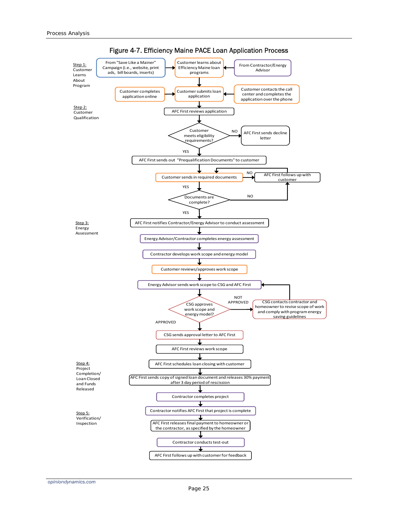

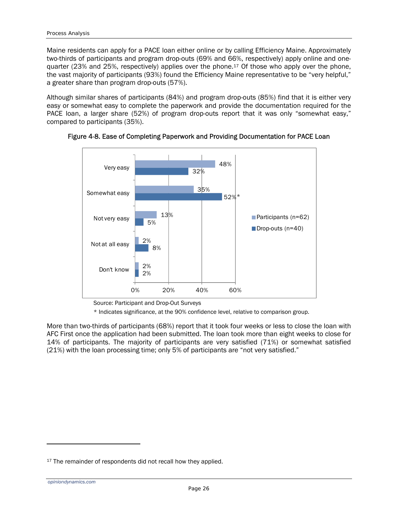Maine residents can apply for a PACE loan either online or by calling Efficiency Maine. Approximately two-thirds of participants and program drop-outs (69% and 66%, respectively) apply online and onequarter (23% and 25%, respectively) applies over the phone.<sup>17</sup> Of those who apply over the phone, the vast majority of participants (93%) found the Efficiency Maine representative to be "very helpful," a greater share than program drop-outs (57%).

Although similar shares of participants (84%) and program drop-outs (85%) find that it is either very easy or somewhat easy to complete the paperwork and provide the documentation required for the PACE loan, a larger share (52%) of program drop-outs report that it was only "somewhat easy," compared to participants (35%).



Figure 4-8. Ease of Completing Paperwork and Providing Documentation for PACE Loan

\* Indicates significance, at the 90% confidence level, relative to comparison group.

More than two-thirds of participants (68%) report that it took four weeks or less to close the loan with AFC First once the application had been submitted. The loan took more than eight weeks to close for 14% of participants. The majority of participants are very satisfied (71%) or somewhat satisfied (21%) with the loan processing time; only 5% of participants are "not very satisfied."

Source: Participant and Drop-Out Surveys

<sup>&</sup>lt;sup>17</sup> The remainder of respondents did not recall how they applied.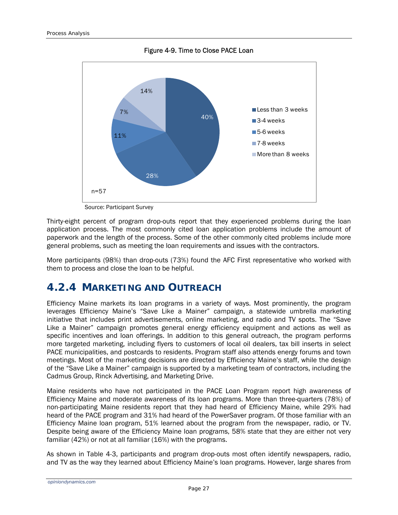



Source: Participant Survey

Thirty-eight percent of program drop-outs report that they experienced problems during the loan application process. The most commonly cited loan application problems include the amount of paperwork and the length of the process. Some of the other commonly cited problems include more general problems, such as meeting the loan requirements and issues with the contractors.

More participants (98%) than drop-outs (73%) found the AFC First representative who worked with them to process and close the loan to be helpful.

## **4.2.4 MARKETING AND OUTREACH**

Efficiency Maine markets its loan programs in a variety of ways. Most prominently, the program leverages Efficiency Maine's "Save Like a Mainer" campaign, a statewide umbrella marketing initiative that includes print advertisements, online marketing, and radio and TV spots. The "Save Like a Mainer" campaign promotes general energy efficiency equipment and actions as well as specific incentives and loan offerings. In addition to this general outreach, the program performs more targeted marketing, including flyers to customers of local oil dealers, tax bill inserts in select PACE municipalities, and postcards to residents. Program staff also attends energy forums and town meetings. Most of the marketing decisions are directed by Efficiency Maine's staff, while the design of the "Save Like a Mainer" campaign is supported by a marketing team of contractors, including the Cadmus Group, Rinck Advertising, and Marketing Drive.

Maine residents who have not participated in the PACE Loan Program report high awareness of Efficiency Maine and moderate awareness of its loan programs. More than three-quarters (78%) of non-participating Maine residents report that they had heard of Efficiency Maine, while 29% had heard of the PACE program and 31% had heard of the PowerSaver program. Of those familiar with an Efficiency Maine loan program, 51% learned about the program from the newspaper, radio, or TV. Despite being aware of the Efficiency Maine loan programs, 58% state that they are either not very familiar (42%) or not at all familiar (16%) with the programs.

As shown in Table 4-3, participants and program drop-outs most often identify newspapers, radio, and TV as the way they learned about Efficiency Maine's loan programs. However, large shares from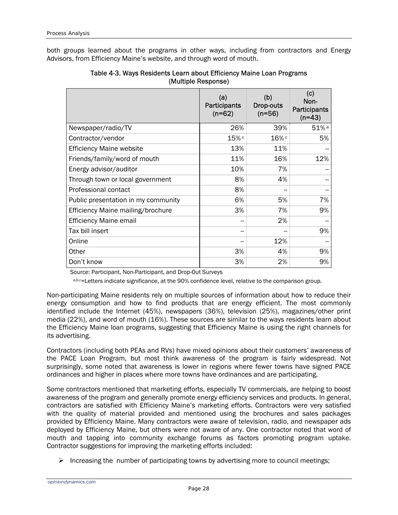both groups learned about the programs in other ways, including from contractors and Energy Advisors, from Efficiency Maine's website, and through word of mouth.

|                                     | (a)<br>Participants<br>$(n=62)$ | (b)<br>Drop-outs<br>$(n=56)$ | (c)<br>Non-<br><b>Participants</b><br>$(n=43)$ |
|-------------------------------------|---------------------------------|------------------------------|------------------------------------------------|
| Newspaper/radio/TV                  | 26%                             | 39%                          | $51\%$ a                                       |
| Contractor/vendor                   | 15%c                            | $16\%$                       | 5%                                             |
| <b>Efficiency Maine website</b>     | 13%                             | 11%                          |                                                |
| Friends/family/word of mouth        | 11%                             | 16%                          | 12%                                            |
| Energy advisor/auditor              | 10%                             | 7%                           |                                                |
| Through town or local government    | 8%                              | 4%                           |                                                |
| Professional contact                | 8%                              |                              |                                                |
| Public presentation in my community | 6%                              | 5%                           | 7%                                             |
| Efficiency Maine mailing/brochure   | 3%                              | 7%                           | 9%                                             |
| <b>Efficiency Maine email</b>       |                                 | 2%                           |                                                |
| Tax bill insert                     |                                 |                              | 9%                                             |
| Online                              |                                 | 12%                          |                                                |
| Other                               | 3%                              | 4%                           | 9%                                             |
| Don't know                          | 3%                              | 2%                           | 9%                                             |

#### Table 4-3. Ways Residents Learn about Efficiency Maine Loan Programs (Multiple Response)

Source: Participant, Non-Participant, and Drop-Out Surveys

a,b,c=Letters indicate significance, at the 90% confidence level, relative to the comparison group.

Non-participating Maine residents rely on multiple sources of information about how to reduce their energy consumption and how to find products that are energy efficient. The most commonly identified include the Internet (45%), newspapers (36%), television (25%), magazines/other print media (22%), and word of mouth (16%). These sources are similar to the ways residents learn about the Efficiency Maine loan programs, suggesting that Efficiency Maine is using the right channels for its advertising.

Contractors (including both PEAs and RVs) have mixed opinions about their customers' awareness of the PACE Loan Program, but most think awareness of the program is fairly widespread. Not surprisingly, some noted that awareness is lower in regions where fewer towns have signed PACE ordinances and higher in places where more towns have ordinances and are participating.

Some contractors mentioned that marketing efforts, especially TV commercials, are helping to boost awareness of the program and generally promote energy efficiency services and products. In general, contractors are satisfied with Efficiency Maine's marketing efforts. Contractors were very satisfied with the quality of material provided and mentioned using the brochures and sales packages provided by Efficiency Maine. Many contractors were aware of television, radio, and newspaper ads deployed by Efficiency Maine, but others were not aware of any. One contractor noted that word of mouth and tapping into community exchange forums as factors promoting program uptake. Contractor suggestions for improving the marketing efforts included:

 $\triangleright$  Increasing the number of participating towns by advertising more to council meetings;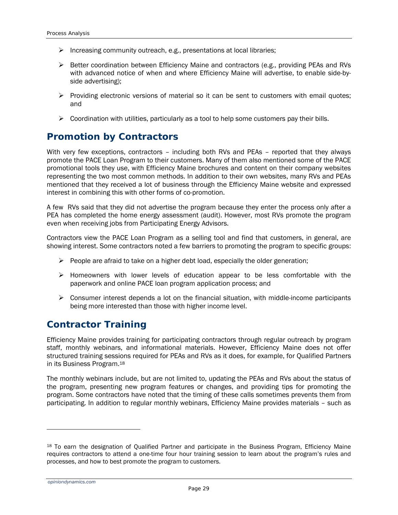- $\triangleright$  Increasing community outreach, e.g., presentations at local libraries;
- $\triangleright$  Better coordination between Efficiency Maine and contractors (e.g., providing PEAs and RVs with advanced notice of when and where Efficiency Maine will advertise, to enable side-byside advertising);
- $\triangleright$  Providing electronic versions of material so it can be sent to customers with email quotes; and
- $\triangleright$  Coordination with utilities, particularly as a tool to help some customers pay their bills.

## **Promotion by Contractors**

With very few exceptions, contractors – including both RVs and PEAs – reported that they always promote the PACE Loan Program to their customers. Many of them also mentioned some of the PACE promotional tools they use, with Efficiency Maine brochures and content on their company websites representing the two most common methods. In addition to their own websites, many RVs and PEAs mentioned that they received a lot of business through the Efficiency Maine website and expressed interest in combining this with other forms of co-promotion.

A few RVs said that they did not advertise the program because they enter the process only after a PEA has completed the home energy assessment (audit). However, most RVs promote the program even when receiving jobs from Participating Energy Advisors.

Contractors view the PACE Loan Program as a selling tool and find that customers, in general, are showing interest. Some contractors noted a few barriers to promoting the program to specific groups:

- $\triangleright$  People are afraid to take on a higher debt load, especially the older generation;
- $\triangleright$  Homeowners with lower levels of education appear to be less comfortable with the paperwork and online PACE loan program application process; and
- $\triangleright$  Consumer interest depends a lot on the financial situation, with middle-income participants being more interested than those with higher income level.

### **Contractor Training**

Efficiency Maine provides training for participating contractors through regular outreach by program staff, monthly webinars, and informational materials. However, Efficiency Maine does not offer structured training sessions required for PEAs and RVs as it does, for example, for Qualified Partners in its Business Program.18

The monthly webinars include, but are not limited to, updating the PEAs and RVs about the status of the program, presenting new program features or changes, and providing tips for promoting the program. Some contractors have noted that the timing of these calls sometimes prevents them from participating. In addition to regular monthly webinars, Efficiency Maine provides materials – such as

*opiniondynamics.com* 

<sup>18</sup> To earn the designation of Qualified Partner and participate in the Business Program, Efficiency Maine requires contractors to attend a one-time four hour training session to learn about the program's rules and processes, and how to best promote the program to customers.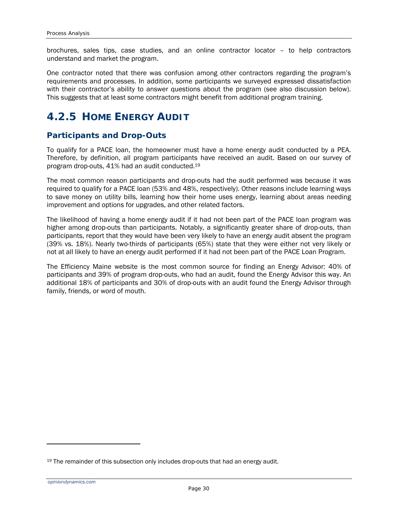brochures, sales tips, case studies, and an online contractor locator – to help contractors understand and market the program.

One contractor noted that there was confusion among other contractors regarding the program's requirements and processes. In addition, some participants we surveyed expressed dissatisfaction with their contractor's ability to answer questions about the program (see also discussion below). This suggests that at least some contractors might benefit from additional program training.

## **4.2.5 HOME ENERGY AUDIT**

#### *Participants and Drop-Outs*

To qualify for a PACE loan, the homeowner must have a home energy audit conducted by a PEA. Therefore, by definition, all program participants have received an audit. Based on our survey of program drop-outs, 41% had an audit conducted.19

The most common reason participants and drop-outs had the audit performed was because it was required to qualify for a PACE loan (53% and 48%, respectively). Other reasons include learning ways to save money on utility bills, learning how their home uses energy, learning about areas needing improvement and options for upgrades, and other related factors.

The likelihood of having a home energy audit if it had not been part of the PACE loan program was higher among drop-outs than participants. Notably, a significantly greater share of drop-outs, than participants, report that they would have been very likely to have an energy audit absent the program (39% vs. 18%). Nearly two-thirds of participants (65%) state that they were either not very likely or not at all likely to have an energy audit performed if it had not been part of the PACE Loan Program.

The Efficiency Maine website is the most common source for finding an Energy Advisor: 40% of participants and 39% of program drop-outs, who had an audit, found the Energy Advisor this way. An additional 18% of participants and 30% of drop-outs with an audit found the Energy Advisor through family, friends, or word of mouth.

 $\overline{a}$ 

<sup>&</sup>lt;sup>19</sup> The remainder of this subsection only includes drop-outs that had an energy audit.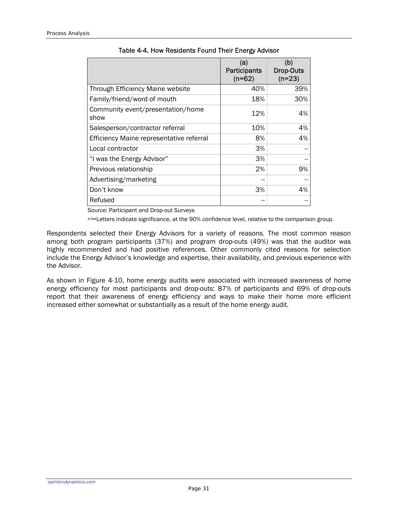|                                           | (a)<br>Participants<br>$(n=62)$ | (b)<br>Drop-Outs<br>$(n=23)$ |
|-------------------------------------------|---------------------------------|------------------------------|
| Through Efficiency Maine website          | 40%                             | 39%                          |
| Family/friend/word of mouth               | 18%                             | 30%                          |
| Community event/presentation/home<br>show | 12%                             | 4%                           |
| Salesperson/contractor referral           | 10%                             | 4%                           |
| Efficiency Maine representative referral  | 8%                              | 4%                           |
| Local contractor                          | 3%                              |                              |
| "I was the Energy Advisor"                | 3%                              |                              |
| Previous relationship                     | 2%                              | 9%                           |
| Advertising/marketing                     |                                 |                              |
| Don't know                                | 3%                              | 4%                           |
| Refused                                   |                                 |                              |

Table 4-4. How Residents Found Their Energy Advisor

Source: Participant and Drop-out Surveys

a,b=Letters indicate significance, at the 90% confidence level, relative to the comparison group.

Respondents selected their Energy Advisors for a variety of reasons. The most common reason among both program participants (37%) and program drop-outs (49%) was that the auditor was highly recommended and had positive references. Other commonly cited reasons for selection include the Energy Advisor's knowledge and expertise, their availability, and previous experience with the Advisor.

As shown in Figure 4-10, home energy audits were associated with increased awareness of home energy efficiency for most participants and drop-outs: 87% of participants and 69% of drop-outs report that their awareness of energy efficiency and ways to make their home more efficient increased either somewhat or substantially as a result of the home energy audit.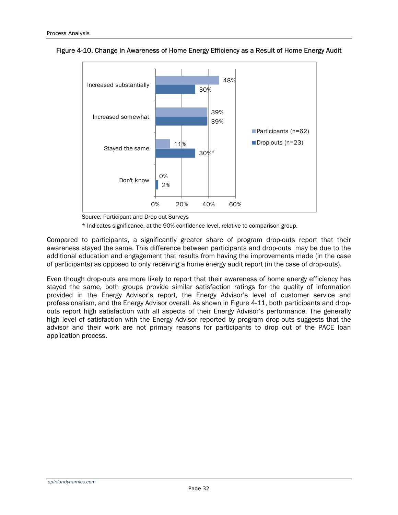

Figure 4-10. Change in Awareness of Home Energy Efficiency as a Result of Home Energy Audit

\* Indicates significance, at the 90% confidence level, relative to comparison group.

Compared to participants, a significantly greater share of program drop-outs report that their awareness stayed the same. This difference between participants and drop-outs may be due to the additional education and engagement that results from having the improvements made (in the case of participants) as opposed to only receiving a home energy audit report (in the case of drop-outs).

Even though drop-outs are more likely to report that their awareness of home energy efficiency has stayed the same, both groups provide similar satisfaction ratings for the quality of information provided in the Energy Advisor's report, the Energy Advisor's level of customer service and professionalism, and the Energy Advisor overall. As shown in Figure 4-11, both participants and dropouts report high satisfaction with all aspects of their Energy Advisor's performance. The generally high level of satisfaction with the Energy Advisor reported by program drop-outs suggests that the advisor and their work are not primary reasons for participants to drop out of the PACE loan application process.

Source: Participant and Drop-out Surveys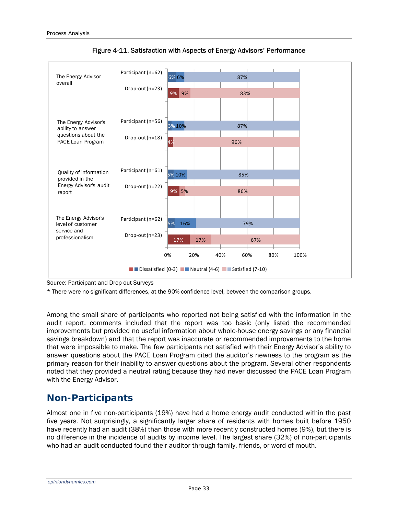

Figure 4-11. Satisfaction with Aspects of Energy Advisors' Performance

Source: Participant and Drop-out Surveys

\* There were no significant differences, at the 90% confidence level, between the comparison groups.

Among the small share of participants who reported not being satisfied with the information in the audit report, comments included that the report was too basic (only listed the recommended improvements but provided no useful information about whole-house energy savings or any financial savings breakdown) and that the report was inaccurate or recommended improvements to the home that were impossible to make. The few participants not satisfied with their Energy Advisor's ability to answer questions about the PACE Loan Program cited the auditor's newness to the program as the primary reason for their inability to answer questions about the program. Several other respondents noted that they provided a neutral rating because they had never discussed the PACE Loan Program with the Energy Advisor.

### **Non-Participants**

Almost one in five non-participants (19%) have had a home energy audit conducted within the past five years. Not surprisingly, a significantly larger share of residents with homes built before 1950 have recently had an audit (38%) than those with more recently constructed homes (9%), but there is no difference in the incidence of audits by income level. The largest share (32%) of non-participants who had an audit conducted found their auditor through family, friends, or word of mouth.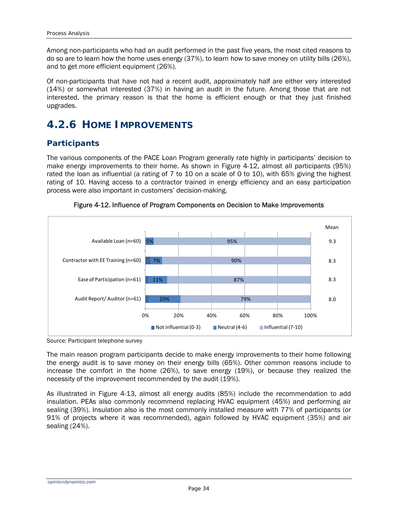Among non-participants who had an audit performed in the past five years, the most cited reasons to do so are to learn how the home uses energy (37%), to learn how to save money on utility bills (26%), and to get more efficient equipment (26%).

Of non-participants that have not had a recent audit, approximately half are either very interested (14%) or somewhat interested (37%) in having an audit in the future. Among those that are not interested, the primary reason is that the home is efficient enough or that they just finished upgrades.

## **4.2.6 HOME IMPROVEMENTS**

#### *Participants*

The various components of the PACE Loan Program generally rate highly in participants' decision to make energy improvements to their home. As shown in Figure 4-12, almost all participants (95%) rated the loan as influential (a rating of 7 to 10 on a scale of 0 to 10), with 65% giving the highest rating of 10. Having access to a contractor trained in energy efficiency and an easy participation process were also important in customers' decision-making.



Figure 4-12. Influence of Program Components on Decision to Make Improvements

Source: Participant telephone survey

The main reason program participants decide to make energy improvements to their home following the energy audit is to save money on their energy bills (65%). Other common reasons include to increase the comfort in the home (26%), to save energy (19%), or because they realized the necessity of the improvement recommended by the audit (19%).

As illustrated in Figure 4-13, almost all energy audits (85%) include the recommendation to add insulation. PEAs also commonly recommend replacing HVAC equipment (45%) and performing air sealing (39%). Insulation also is the most commonly installed measure with 77% of participants (or 91% of projects where it was recommended), again followed by HVAC equipment (35%) and air sealing (24%).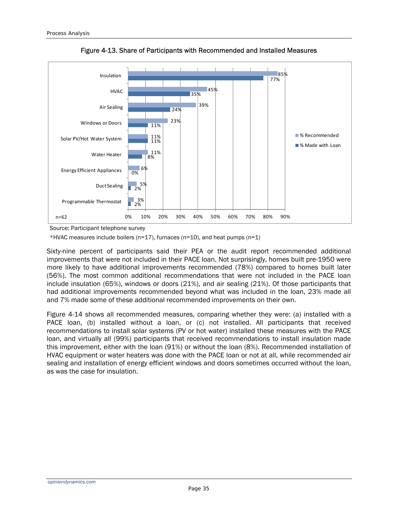

Figure 4-13. Share of Participants with Recommended and Installed Measures

Source: Participant telephone survey

\*HVAC measures include boilers (n=17), furnaces (n=10), and heat pumps (n=1)

Sixty-nine percent of participants said their PEA or the audit report recommended additional improvements that were not included in their PACE loan. Not surprisingly, homes built pre-1950 were more likely to have additional improvements recommended (78%) compared to homes built later (56%). The most common additional recommendations that were not included in the PACE loan include insulation (65%), windows or doors (21%), and air sealing (21%). Of those participants that had additional improvements recommended beyond what was included in the loan, 23% made all and 7% made some of these additional recommended improvements on their own.

Figure 4-14 shows all recommended measures, comparing whether they were: (a) installed with a PACE loan, (b) installed without a loan, or (c) not installed. All participants that received recommendations to install solar systems (PV or hot water) installed these measures with the PACE loan, and virtually all (99%) participants that received recommendations to install insulation made this improvement, either with the loan (91%) or without the loan (8%). Recommended installation of HVAC equipment or water heaters was done with the PACE loan or not at all, while recommended air sealing and installation of energy efficient windows and doors sometimes occurred without the loan, as was the case for insulation.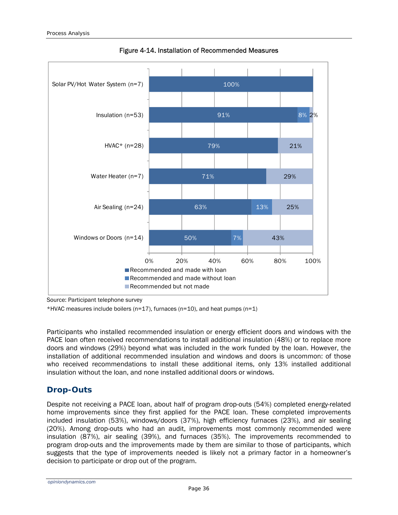

Figure 4-14. Installation of Recommended Measures

Source: Participant telephone survey

\*HVAC measures include boilers ( $n=17$ ), furnaces ( $n=10$ ), and heat pumps ( $n=1$ )

Participants who installed recommended insulation or energy efficient doors and windows with the PACE loan often received recommendations to install additional insulation (48%) or to replace more doors and windows (29%) beyond what was included in the work funded by the loan. However, the installation of additional recommended insulation and windows and doors is uncommon: of those who received recommendations to install these additional items, only 13% installed additional insulation without the loan, and none installed additional doors or windows.

#### *Drop-Outs*

Despite not receiving a PACE loan, about half of program drop-outs (54%) completed energy-related home improvements since they first applied for the PACE loan. These completed improvements included insulation (53%), windows/doors (37%), high efficiency furnaces (23%), and air sealing (20%). Among drop-outs who had an audit, improvements most commonly recommended were insulation (87%), air sealing (39%), and furnaces (35%). The improvements recommended to program drop-outs and the improvements made by them are similar to those of participants, which suggests that the type of improvements needed is likely not a primary factor in a homeowner's decision to participate or drop out of the program.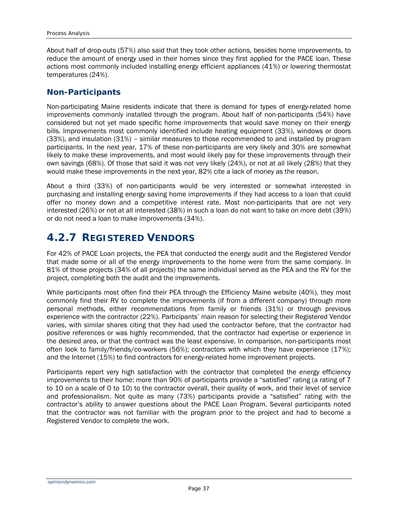About half of drop-outs (57%) also said that they took other actions, besides home improvements, to reduce the amount of energy used in their homes since they first applied for the PACE loan. These actions most commonly included installing energy efficient appliances (41%) or lowering thermostat temperatures (24%).

#### *Non-Participants*

Non-participating Maine residents indicate that there is demand for types of energy-related home improvements commonly installed through the program. About half of non-participants (54%) have considered but not yet made specific home improvements that would save money on their energy bills. Improvements most commonly identified include heating equipment (33%), windows or doors (33%), and insulation (31%) – similar measures to those recommended to and installed by program participants. In the next year, 17% of these non-participants are very likely and 30% are somewhat likely to make these improvements, and most would likely pay for these improvements through their own savings (68%). Of those that said it was not very likely (24%), or not at all likely (28%) that they would make these improvements in the next year, 82% cite a lack of money as the reason.

About a third (33%) of non-participants would be very interested or somewhat interested in purchasing and installing energy saving home improvements if they had access to a loan that could offer no money down and a competitive interest rate. Most non-participants that are not very interested (26%) or not at all interested (38%) in such a loan do not want to take on more debt (39%) or do not need a loan to make improvements (34%).

## **4.2.7 REGISTERED VENDORS**

For 42% of PACE Loan projects, the PEA that conducted the energy audit and the Registered Vendor that made some or all of the energy improvements to the home were from the same company. In 81% of those projects (34% of all projects) the same individual served as the PEA and the RV for the project, completing both the audit and the improvements.

While participants most often find their PEA through the Efficiency Maine website (40%), they most commonly find their RV to complete the improvements (if from a different company) through more personal methods, either recommendations from family or friends (31%) or through previous experience with the contractor (22%). Participants' main reason for selecting their Registered Vendor varies, with similar shares citing that they had used the contractor before, that the contractor had positive references or was highly recommended, that the contractor had expertise or experience in the desired area, or that the contract was the least expensive. In comparison, non-participants most often look to family/friends/co-workers (56%); contractors with which they have experience (17%); and the Internet (15%) to find contractors for energy-related home improvement projects.

Participants report very high satisfaction with the contractor that completed the energy efficiency improvements to their home: more than 90% of participants provide a "satisfied" rating (a rating of 7 to 10 on a scale of 0 to 10) to the contractor overall, their quality of work, and their level of service and professionalism. Not quite as many (73%) participants provide a "satisfied" rating with the contractor's ability to answer questions about the PACE Loan Program. Several participants noted that the contractor was not familiar with the program prior to the project and had to become a Registered Vendor to complete the work.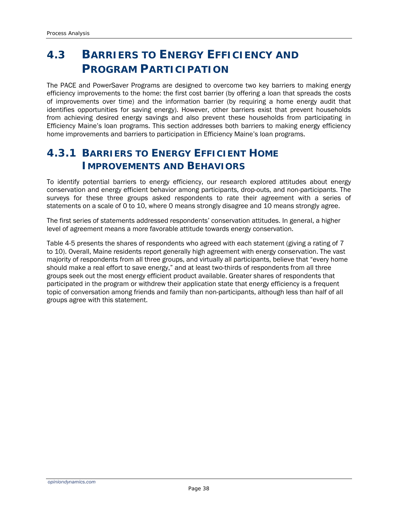# *4.3 BARRIERS TO ENERGY EFFICIENCY AND PROGRAM PARTICIPATION*

The PACE and PowerSaver Programs are designed to overcome two key barriers to making energy efficiency improvements to the home: the first cost barrier (by offering a loan that spreads the costs of improvements over time) and the information barrier (by requiring a home energy audit that identifies opportunities for saving energy). However, other barriers exist that prevent households from achieving desired energy savings and also prevent these households from participating in Efficiency Maine's loan programs. This section addresses both barriers to making energy efficiency home improvements and barriers to participation in Efficiency Maine's loan programs.

## **4.3.1 BARRIERS TO ENERGY EFFICIENT HOME IMPROVEMENTS AND BEHAVIORS**

To identify potential barriers to energy efficiency, our research explored attitudes about energy conservation and energy efficient behavior among participants, drop-outs, and non-participants. The surveys for these three groups asked respondents to rate their agreement with a series of statements on a scale of 0 to 10, where 0 means strongly disagree and 10 means strongly agree.

The first series of statements addressed respondents' conservation attitudes. In general, a higher level of agreement means a more favorable attitude towards energy conservation.

Table 4-5 presents the shares of respondents who agreed with each statement (giving a rating of 7 to 10). Overall, Maine residents report generally high agreement with energy conservation. The vast majority of respondents from all three groups, and virtually all participants, believe that "every home should make a real effort to save energy," and at least two-thirds of respondents from all three groups seek out the most energy efficient product available. Greater shares of respondents that participated in the program or withdrew their application state that energy efficiency is a frequent topic of conversation among friends and family than non-participants, although less than half of all groups agree with this statement.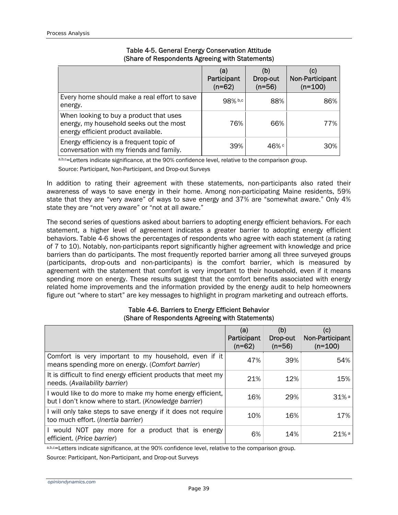|                                                                                                                           | (a)<br>Participant<br>$(n=62)$ | (b)<br>Drop-out<br>$(n=56)$ | (C)<br>Non-Participant<br>$(n=100)$ |
|---------------------------------------------------------------------------------------------------------------------------|--------------------------------|-----------------------------|-------------------------------------|
| Every home should make a real effort to save<br>energy.                                                                   | 98% b,c                        | 88%                         | 86%                                 |
| When looking to buy a product that uses<br>energy, my household seeks out the most<br>energy efficient product available. | 76%                            | 66%                         | 77%                                 |
| Energy efficiency is a frequent topic of<br>conversation with my friends and family.                                      | 39%                            | 46% c                       | 30%                                 |

#### Table 4-5. General Energy Conservation Attitude (Share of Respondents Agreeing with Statements)

a,b,c=Letters indicate significance, at the 90% confidence level, relative to the comparison group.

Source: Participant, Non-Participant, and Drop-out Surveys

In addition to rating their agreement with these statements, non-participants also rated their awareness of ways to save energy in their home. Among non-participating Maine residents, 59% state that they are "very aware" of ways to save energy and 37% are "somewhat aware." Only 4% state they are "not very aware" or "not at all aware."

The second series of questions asked about barriers to adopting energy efficient behaviors. For each statement, a higher level of agreement indicates a greater barrier to adopting energy efficient behaviors. Table 4-6 shows the percentages of respondents who agree with each statement (a rating of 7 to 10). Notably, non-participants report significantly higher agreement with knowledge and price barriers than do participants. The most frequently reported barrier among all three surveyed groups (participants, drop-outs and non-participants) is the comfort barrier, which is measured by agreement with the statement that comfort is very important to their household, even if it means spending more on energy. These results suggest that the comfort benefits associated with energy related home improvements and the information provided by the energy audit to help homeowners figure out "where to start" are key messages to highlight in program marketing and outreach efforts.

#### (a) **Participant** (n=62) (b) Drop-out (n=56) (c) Non-Participant  $(n=100)$ Comfort is very important to my household, even if it means spending more on energy. (*Comfort barrier*) 47% 47% 39% 39% It is difficult to find energy efficient products that meet my needs. (*Availability barrier*) needs. (*Availability barrier*) 15% I would like to do more to make my home energy efficient, but I don't know where to start. (*Knowledge barrier*) 16% 29% 31% a I will only take steps to save energy if it does not require too much effort. (*Inertia barrier*) in R does not require too much effort. (*Inertia barrier*) 17% I would NOT pay more for a product that is energy efficient. (*Price barrier*) 6% **14%** 21% a efficient. (*Price barrier*)

#### Table 4-6. Barriers to Energy Efficient Behavior (Share of Respondents Agreeing with Statements)

a,b,c=Letters indicate significance, at the 90% confidence level, relative to the comparison group. Source: Participant, Non-Participant, and Drop-out Surveys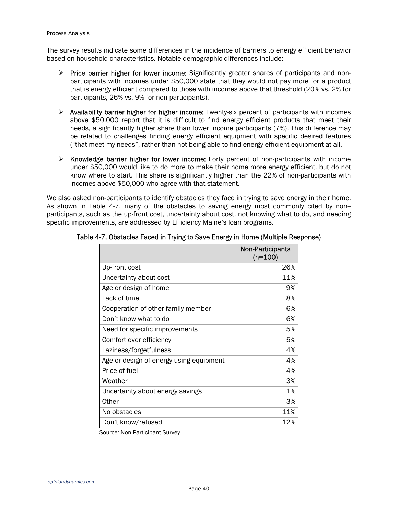The survey results indicate some differences in the incidence of barriers to energy efficient behavior based on household characteristics. Notable demographic differences include:

- $\triangleright$  Price barrier higher for lower income: Significantly greater shares of participants and nonparticipants with incomes under \$50,000 state that they would not pay more for a product that is energy efficient compared to those with incomes above that threshold (20% vs. 2% for participants, 26% vs. 9% for non-participants).
- $\triangleright$  Availability barrier higher for higher income: Twenty-six percent of participants with incomes above \$50,000 report that it is difficult to find energy efficient products that meet their needs, a significantly higher share than lower income participants (7%). This difference may be related to challenges finding energy efficient equipment with specific desired features ("that meet my needs", rather than not being able to find energy efficient equipment at all.
- $\triangleright$  Knowledge barrier higher for lower income: Forty percent of non-participants with income under \$50,000 would like to do more to make their home more energy efficient, but do not know where to start. This share is significantly higher than the 22% of non-participants with incomes above \$50,000 who agree with that statement.

We also asked non-participants to identify obstacles they face in trying to save energy in their home. As shown in Table 4-7, many of the obstacles to saving energy most commonly cited by non- participants, such as the up-front cost, uncertainty about cost, not knowing what to do, and needing specific improvements, are addressed by Efficiency Maine's loan programs.

|                                         | <b>Non-Participants</b><br>$(n=100)$ |
|-----------------------------------------|--------------------------------------|
| Up-front cost                           | 26%                                  |
| Uncertainty about cost                  | 11%                                  |
| Age or design of home                   | 9%                                   |
| Lack of time                            | 8%                                   |
| Cooperation of other family member      | 6%                                   |
| Don't know what to do                   | 6%                                   |
| Need for specific improvements          | 5%                                   |
| Comfort over efficiency                 | 5%                                   |
| Laziness/forgetfulness                  | 4%                                   |
| Age or design of energy-using equipment | 4%                                   |
| Price of fuel                           | 4%                                   |
| Weather                                 | 3%                                   |
| Uncertainty about energy savings        | 1%                                   |
| Other                                   | 3%                                   |
| No obstacles                            | 11%                                  |
| Don't know/refused                      | 12%                                  |

Table 4-7. Obstacles Faced in Trying to Save Energy in Home (Multiple Response)

Source: Non-Participant Survey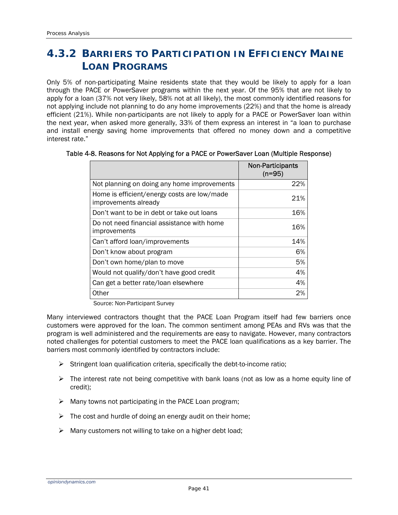## **4.3.2 BARRIERS TO PARTICIPATION IN EFFICIENCY MAINE LOAN PROGRAMS**

Only 5% of non-participating Maine residents state that they would be likely to apply for a loan through the PACE or PowerSaver programs within the next year. Of the 95% that are not likely to apply for a loan (37% not very likely, 58% not at all likely), the most commonly identified reasons for not applying include not planning to do any home improvements (22%) and that the home is already efficient (21%). While non-participants are not likely to apply for a PACE or PowerSaver loan within the next year, when asked more generally, 33% of them express an interest in "a loan to purchase and install energy saving home improvements that offered no money down and a competitive interest rate."

|                                                                     | <b>Non-Participants</b><br>$(n=95)$ |
|---------------------------------------------------------------------|-------------------------------------|
| Not planning on doing any home improvements                         | 22%                                 |
| Home is efficient/energy costs are low/made<br>improvements already | 21%                                 |
| Don't want to be in debt or take out loans                          | 16%                                 |
| Do not need financial assistance with home<br>improvements          | 16%                                 |
| Can't afford loan/improvements                                      | 14%                                 |
| Don't know about program                                            | 6%                                  |
| Don't own home/plan to move                                         | 5%                                  |
| Would not qualify/don't have good credit                            | 4%                                  |
| Can get a better rate/loan elsewhere                                | 4%                                  |
| Other                                                               | 2%                                  |

Table 4-8. Reasons for Not Applying for a PACE or PowerSaver Loan (Multiple Response)

Source: Non-Participant Survey

Many interviewed contractors thought that the PACE Loan Program itself had few barriers once customers were approved for the loan. The common sentiment among PEAs and RVs was that the program is well administered and the requirements are easy to navigate. However, many contractors noted challenges for potential customers to meet the PACE loan qualifications as a key barrier. The barriers most commonly identified by contractors include:

- $\triangleright$  Stringent loan qualification criteria, specifically the debt-to-income ratio;
- $\triangleright$  The interest rate not being competitive with bank loans (not as low as a home equity line of credit);
- $\triangleright$  Many towns not participating in the PACE Loan program:
- $\triangleright$  The cost and hurdle of doing an energy audit on their home;
- $\triangleright$  Many customers not willing to take on a higher debt load;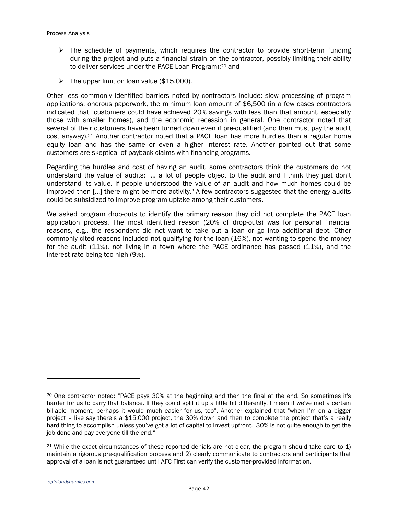- $\triangleright$  The schedule of payments, which requires the contractor to provide short-term funding during the project and puts a financial strain on the contractor, possibly limiting their ability to deliver services under the PACE Loan Program);20 and
- $\triangleright$  The upper limit on loan value (\$15,000).

Other less commonly identified barriers noted by contractors include: slow processing of program applications, onerous paperwork, the minimum loan amount of \$6,500 (in a few cases contractors indicated that customers could have achieved 20% savings with less than that amount, especially those with smaller homes), and the economic recession in general. One contractor noted that several of their customers have been turned down even if pre-qualified (and then must pay the audit cost anyway).<sup>21</sup> Another contractor noted that a PACE loan has more hurdles than a regular home equity loan and has the same or even a higher interest rate. Another pointed out that some customers are skeptical of payback claims with financing programs.

Regarding the hurdles and cost of having an audit, some contractors think the customers do not understand the value of audits: "… a lot of people object to the audit and I think they just don't understand its value. If people understood the value of an audit and how much homes could be improved then […] there might be more activity." A few contractors suggested that the energy audits could be subsidized to improve program uptake among their customers.

We asked program drop-outs to identify the primary reason they did not complete the PACE loan application process. The most identified reason (20% of drop-outs) was for personal financial reasons, e.g., the respondent did not want to take out a loan or go into additional debt. Other commonly cited reasons included not qualifying for the loan (16%), not wanting to spend the money for the audit (11%), not living in a town where the PACE ordinance has passed (11%), and the interest rate being too high (9%).

<sup>20</sup> One contractor noted: "PACE pays 30% at the beginning and then the final at the end. So sometimes it's harder for us to carry that balance. If they could split it up a little bit differently, I mean if we've met a certain billable moment, perhaps it would much easier for us, too". Another explained that "when I'm on a bigger project – like say there's a \$15,000 project, the 30% down and then to complete the project that's a really hard thing to accomplish unless you've got a lot of capital to invest upfront. 30% is not quite enough to get the job done and pay everyone till the end."

<sup>21</sup> While the exact circumstances of these reported denials are not clear, the program should take care to 1) maintain a rigorous pre-qualification process and 2) clearly communicate to contractors and participants that approval of a loan is not guaranteed until AFC First can verify the customer-provided information.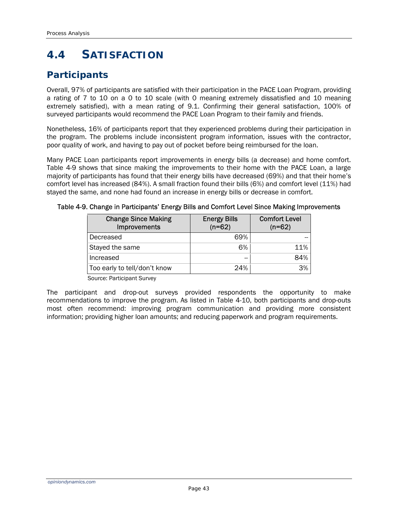# *4.4 SATISFACTION*

## **Participants**

Overall, 97% of participants are satisfied with their participation in the PACE Loan Program, providing a rating of 7 to 10 on a 0 to 10 scale (with 0 meaning extremely dissatisfied and 10 meaning extremely satisfied), with a mean rating of 9.1. Confirming their general satisfaction, 100% of surveyed participants would recommend the PACE Loan Program to their family and friends.

Nonetheless, 16% of participants report that they experienced problems during their participation in the program. The problems include inconsistent program information, issues with the contractor, poor quality of work, and having to pay out of pocket before being reimbursed for the loan.

Many PACE Loan participants report improvements in energy bills (a decrease) and home comfort. Table 4-9 shows that since making the improvements to their home with the PACE Loan, a large majority of participants has found that their energy bills have decreased (69%) and that their home's comfort level has increased (84%). A small fraction found their bills (6%) and comfort level (11%) had stayed the same, and none had found an increase in energy bills or decrease in comfort.

| <b>Change Since Making</b><br>Improvements | <b>Energy Bills</b><br>$(n=62)$ | <b>Comfort Level</b><br>$(n=62)$ |
|--------------------------------------------|---------------------------------|----------------------------------|
| Decreased                                  | 69%                             |                                  |
| Stayed the same                            | 6%                              | 11%                              |
| Increased                                  | --                              | 84%                              |
| Too early to tell/don't know               | 24%                             | 3%                               |

Table 4-9. Change in Participants' Energy Bills and Comfort Level Since Making Improvements

Source: Participant Survey

The participant and drop-out surveys provided respondents the opportunity to make recommendations to improve the program. As listed in Table 4-10, both participants and drop-outs most often recommend: improving program communication and providing more consistent information; providing higher loan amounts; and reducing paperwork and program requirements.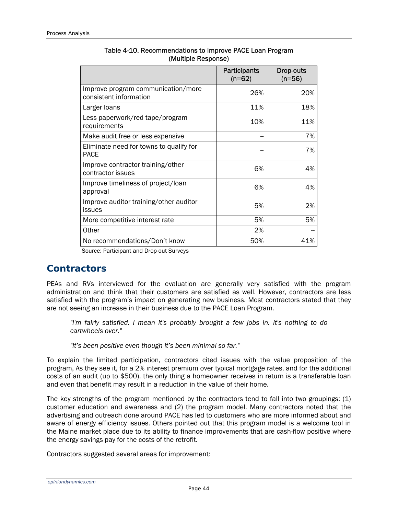|                                                              | Participants<br>$(n=62)$ | Drop-outs<br>$(n=56)$ |
|--------------------------------------------------------------|--------------------------|-----------------------|
| Improve program communication/more<br>consistent information | 26%                      | 20%                   |
| Larger loans                                                 | 11%                      | 18%                   |
| Less paperwork/red tape/program<br>requirements              | 10%                      | 11%                   |
| Make audit free or less expensive                            |                          | 7%                    |
| Eliminate need for towns to qualify for<br><b>PACE</b>       |                          | 7%                    |
| Improve contractor training/other<br>contractor issues       | 6%                       | 4%                    |
| Improve timeliness of project/loan<br>approval               | 6%                       | 4%                    |
| Improve auditor training/other auditor<br>issues             | 5%                       | 2%                    |
| More competitive interest rate                               | 5%                       | 5%                    |
| Other                                                        | 2%                       |                       |
| No recommendations/Don't know                                | 50%                      | 41%                   |

Table 4-10. Recommendations to Improve PACE Loan Program (Multiple Response)

Source: Participant and Drop-out Surveys

#### **Contractors**

PEAs and RVs interviewed for the evaluation are generally very satisfied with the program administration and think that their customers are satisfied as well. However, contractors are less satisfied with the program's impact on generating new business. Most contractors stated that they are not seeing an increase in their business due to the PACE Loan Program.

*"I'm fairly satisfied. I mean it's probably brought a few jobs in. It's nothing to do cartwheels over."* 

*"It's been positive even though it's been minimal so far."* 

To explain the limited participation, contractors cited issues with the value proposition of the program, As they see it, for a 2% interest premium over typical mortgage rates, and for the additional costs of an audit (up to \$500), the only thing a homeowner receives in return is a transferable loan and even that benefit may result in a reduction in the value of their home.

The key strengths of the program mentioned by the contractors tend to fall into two groupings: (1) customer education and awareness and (2) the program model. Many contractors noted that the advertising and outreach done around PACE has led to customers who are more informed about and aware of energy efficiency issues. Others pointed out that this program model is a welcome tool in the Maine market place due to its ability to finance improvements that are cash-flow positive where the energy savings pay for the costs of the retrofit.

Contractors suggested several areas for improvement: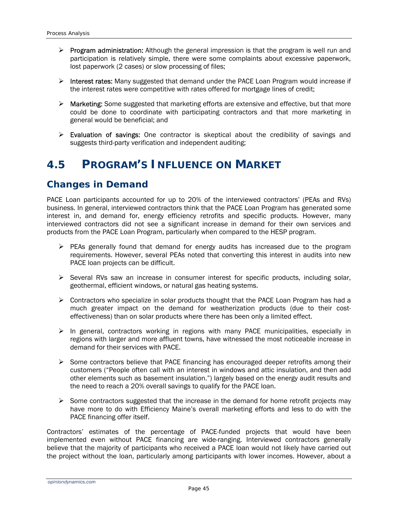- $\triangleright$  Program administration: Although the general impression is that the program is well run and participation is relatively simple, there were some complaints about excessive paperwork, lost paperwork (2 cases) or slow processing of files;
- $\triangleright$  Interest rates: Many suggested that demand under the PACE Loan Program would increase if the interest rates were competitive with rates offered for mortgage lines of credit;
- $\triangleright$  Marketing: Some suggested that marketing efforts are extensive and effective, but that more could be done to coordinate with participating contractors and that more marketing in general would be beneficial; and
- $\triangleright$  Evaluation of savings: One contractor is skeptical about the credibility of savings and suggests third-party verification and independent auditing;

## *4.5 PROGRAM'S INFLUENCE ON MARKET*

### **Changes in Demand**

PACE Loan participants accounted for up to 20% of the interviewed contractors' (PEAs and RVs) business. In general, interviewed contractors think that the PACE Loan Program has generated some interest in, and demand for, energy efficiency retrofits and specific products. However, many interviewed contractors did not see a significant increase in demand for their own services and products from the PACE Loan Program, particularly when compared to the HESP program.

- $\triangleright$  PEAs generally found that demand for energy audits has increased due to the program requirements. However, several PEAs noted that converting this interest in audits into new PACE loan projects can be difficult.
- $\triangleright$  Several RVs saw an increase in consumer interest for specific products, including solar, geothermal, efficient windows, or natural gas heating systems.
- $\triangleright$  Contractors who specialize in solar products thought that the PACE Loan Program has had a much greater impact on the demand for weatherization products (due to their costeffectiveness) than on solar products where there has been only a limited effect.
- $\triangleright$  In general, contractors working in regions with many PACE municipalities, especially in regions with larger and more affluent towns, have witnessed the most noticeable increase in demand for their services with PACE.
- $\triangleright$  Some contractors believe that PACE financing has encouraged deeper retrofits among their customers ("People often call with an interest in windows and attic insulation, and then add other elements such as basement insulation.") largely based on the energy audit results and the need to reach a 20% overall savings to qualify for the PACE loan.
- $\triangleright$  Some contractors suggested that the increase in the demand for home retrofit projects may have more to do with Efficiency Maine's overall marketing efforts and less to do with the PACE financing offer itself.

Contractors' estimates of the percentage of PACE-funded projects that would have been implemented even without PACE financing are wide-ranging. Interviewed contractors generally believe that the majority of participants who received a PACE loan would not likely have carried out the project without the loan, particularly among participants with lower incomes. However, about a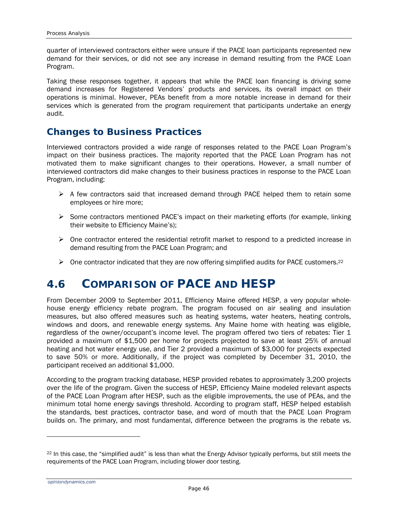quarter of interviewed contractors either were unsure if the PACE loan participants represented new demand for their services, or did not see any increase in demand resulting from the PACE Loan Program.

Taking these responses together, it appears that while the PACE loan financing is driving some demand increases for Registered Vendors' products and services, its overall impact on their operations is minimal. However, PEAs benefit from a more notable increase in demand for their services which is generated from the program requirement that participants undertake an energy audit.

### **Changes to Business Practices**

Interviewed contractors provided a wide range of responses related to the PACE Loan Program's impact on their business practices. The majority reported that the PACE Loan Program has not motivated them to make significant changes to their operations. However, a small number of interviewed contractors did make changes to their business practices in response to the PACE Loan Program, including:

- $\triangleright$  A few contractors said that increased demand through PACE helped them to retain some employees or hire more;
- $\triangleright$  Some contractors mentioned PACE's impact on their marketing efforts (for example, linking their website to Efficiency Maine's);
- $\triangleright$  One contractor entered the residential retrofit market to respond to a predicted increase in demand resulting from the PACE Loan Program; and
- $\triangleright$  One contractor indicated that they are now offering simplified audits for PACE customers.<sup>22</sup>

## *4.6 COMPARISON OF PACE AND HESP*

From December 2009 to September 2011, Efficiency Maine offered HESP, a very popular wholehouse energy efficiency rebate program. The program focused on air sealing and insulation measures, but also offered measures such as heating systems, water heaters, heating controls, windows and doors, and renewable energy systems. Any Maine home with heating was eligible, regardless of the owner/occupant's income level. The program offered two tiers of rebates: Tier 1 provided a maximum of \$1,500 per home for projects projected to save at least 25% of annual heating and hot water energy use, and Tier 2 provided a maximum of \$3,000 for projects expected to save 50% or more. Additionally, if the project was completed by December 31, 2010, the participant received an additional \$1,000.

According to the program tracking database, HESP provided rebates to approximately 3,200 projects over the life of the program. Given the success of HESP, Efficiency Maine modeled relevant aspects of the PACE Loan Program after HESP, such as the eligible improvements, the use of PEAs, and the minimum total home energy savings threshold. According to program staff, HESP helped establish the standards, best practices, contractor base, and word of mouth that the PACE Loan Program builds on. The primary, and most fundamental, difference between the programs is the rebate vs.

*opiniondynamics.com* 

<sup>&</sup>lt;sup>22</sup> In this case, the "simplified audit" is less than what the Energy Advisor typically performs, but still meets the requirements of the PACE Loan Program, including blower door testing.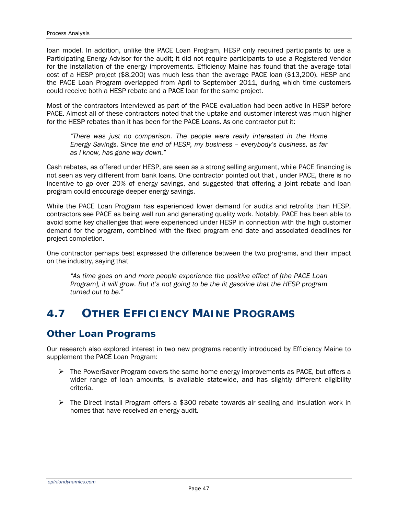loan model. In addition, unlike the PACE Loan Program, HESP only required participants to use a Participating Energy Advisor for the audit; it did not require participants to use a Registered Vendor for the installation of the energy improvements. Efficiency Maine has found that the average total cost of a HESP project (\$8,200) was much less than the average PACE loan (\$13,200). HESP and the PACE Loan Program overlapped from April to September 2011, during which time customers could receive both a HESP rebate and a PACE loan for the same project.

Most of the contractors interviewed as part of the PACE evaluation had been active in HESP before PACE. Almost all of these contractors noted that the uptake and customer interest was much higher for the HESP rebates than it has been for the PACE Loans. As one contractor put it:

*"There was just no comparison. The people were really interested in the Home Energy Savings. Since the end of HESP, my business – everybody's business, as far as I know, has gone way down."* 

Cash rebates, as offered under HESP, are seen as a strong selling argument, while PACE financing is not seen as very different from bank loans. One contractor pointed out that , under PACE, there is no incentive to go over 20% of energy savings, and suggested that offering a joint rebate and loan program could encourage deeper energy savings.

While the PACE Loan Program has experienced lower demand for audits and retrofits than HESP, contractors see PACE as being well run and generating quality work. Notably, PACE has been able to avoid some key challenges that were experienced under HESP in connection with the high customer demand for the program, combined with the fixed program end date and associated deadlines for project completion.

One contractor perhaps best expressed the difference between the two programs, and their impact on the industry, saying that

*"As time goes on and more people experience the positive effect of [the PACE Loan Program], it will grow. But it's not going to be the lit gasoline that the HESP program turned out to be."* 

## *4.7 OTHER EFFICIENCY MAINE PROGRAMS*

### **Other Loan Programs**

Our research also explored interest in two new programs recently introduced by Efficiency Maine to supplement the PACE Loan Program:

- $\triangleright$  The PowerSaver Program covers the same home energy improvements as PACE, but offers a wider range of loan amounts, is available statewide, and has slightly different eligibility criteria.
- $\triangleright$  The Direct Install Program offers a \$300 rebate towards air sealing and insulation work in homes that have received an energy audit.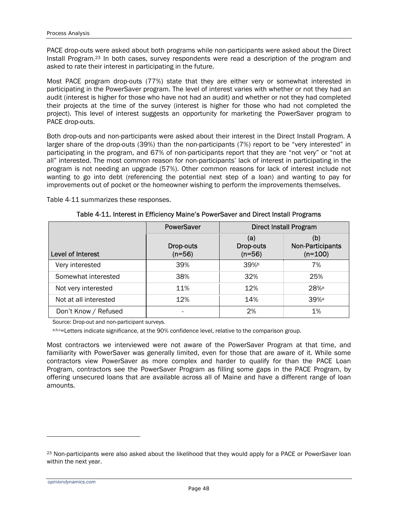PACE drop-outs were asked about both programs while non-participants were asked about the Direct Install Program.23 In both cases, survey respondents were read a description of the program and asked to rate their interest in participating in the future.

Most PACE program drop-outs (77%) state that they are either very or somewhat interested in participating in the PowerSaver program. The level of interest varies with whether or not they had an audit (interest is higher for those who have not had an audit) and whether or not they had completed their projects at the time of the survey (interest is higher for those who had not completed the project). This level of interest suggests an opportunity for marketing the PowerSaver program to PACE drop-outs.

Both drop-outs and non-participants were asked about their interest in the Direct Install Program. A larger share of the drop-outs (39%) than the non-participants (7%) report to be "very interested" in participating in the program, and 67% of non-participants report that they are "not very" or "not at all" interested. The most common reason for non-participants' lack of interest in participating in the program is not needing an upgrade (57%). Other common reasons for lack of interest include not wanting to go into debt (referencing the potential next step of a loan) and wanting to pay for improvements out of pocket or the homeowner wishing to perform the improvements themselves.

Table 4-11 summarizes these responses.

|                          | PowerSaver            | <b>Direct Install Program</b> |                                      |
|--------------------------|-----------------------|-------------------------------|--------------------------------------|
| <b>Level of Interest</b> | Drop-outs<br>$(n=56)$ | (a)<br>Drop-outs<br>$(n=56)$  | (b)<br>Non-Participants<br>$(n=100)$ |
| Very interested          | 39%                   | 39%b                          | 7%                                   |
| Somewhat interested      | 38%                   | 32%                           | 25%                                  |
| Not very interested      | 11%                   | 12%                           | 28% <sup>a</sup>                     |
| Not at all interested    | 12%                   | 14%                           | $39%$ <sup>a</sup>                   |
| Don't Know / Refused     |                       | 2%                            | 1%                                   |

Table 4-11. Interest in Efficiency Maine's PowerSaver and Direct Install Programs

Source: Drop-out and non-participant surveys.

a,b,c=Letters indicate significance, at the 90% confidence level, relative to the comparison group.

Most contractors we interviewed were not aware of the PowerSaver Program at that time, and familiarity with PowerSaver was generally limited, even for those that are aware of it. While some contractors view PowerSaver as more complex and harder to qualify for than the PACE Loan Program, contractors see the PowerSaver Program as filling some gaps in the PACE Program, by offering unsecured loans that are available across all of Maine and have a different range of loan amounts.

<sup>&</sup>lt;sup>23</sup> Non-participants were also asked about the likelihood that they would apply for a PACE or PowerSaver loan within the next year.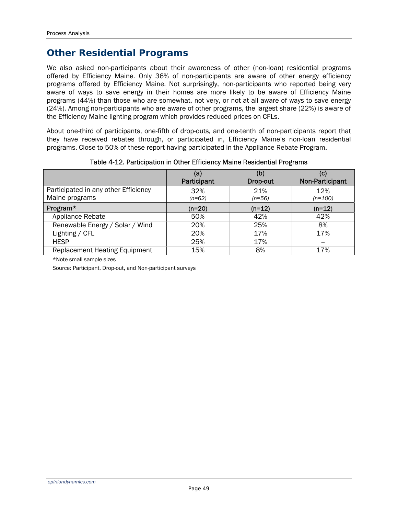## **Other Residential Programs**

We also asked non-participants about their awareness of other (non-loan) residential programs offered by Efficiency Maine. Only 36% of non-participants are aware of other energy efficiency programs offered by Efficiency Maine. Not surprisingly, non-participants who reported being very aware of ways to save energy in their homes are more likely to be aware of Efficiency Maine programs (44%) than those who are somewhat, not very, or not at all aware of ways to save energy (24%). Among non-participants who are aware of other programs, the largest share (22%) is aware of the Efficiency Maine lighting program which provides reduced prices on CFLs.

About one-third of participants, one-fifth of drop-outs, and one-tenth of non-participants report that they have received rebates through, or participated in, Efficiency Maine's non-loan residential programs. Close to 50% of these report having participated in the Appliance Rebate Program.

|                                      | (a)<br>Participant | (b)<br>Drop-out | (C)<br>Non-Participant |
|--------------------------------------|--------------------|-----------------|------------------------|
| Participated in any other Efficiency | 32%                | 21%             | 12%                    |
| Maine programs                       | $(n=62)$           | $(n=56)$        | $(n=100)$              |
| Program*                             | $(n=20)$           | $(n=12)$        | $(n=12)$               |
| Appliance Rebate                     | 50%                | 42%             | 42%                    |
| Renewable Energy / Solar / Wind      | 20%                | 25%             | 8%                     |
| Lighting / CFL                       | 20%                | 17%             | 17%                    |
| <b>HESP</b>                          | 25%                | 17%             |                        |
| <b>Replacement Heating Equipment</b> | 15%                | 8%              | 17%                    |

#### Table 4-12. Participation in Other Efficiency Maine Residential Programs

\*Note small sample sizes

Source: Participant, Drop-out, and Non-participant surveys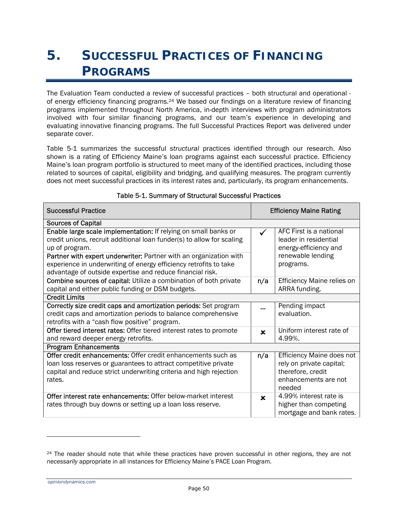# **5. SUCCESSFUL PRACTICES OF FINANCING PROGRAMS**

The Evaluation Team conducted a review of successful practices – both structural and operational of energy efficiency financing programs.24 We based our findings on a literature review of financing programs implemented throughout North America, in-depth interviews with program administrators involved with four similar financing programs, and our team's experience in developing and evaluating innovative financing programs. The full Successful Practices Report was delivered under separate cover.

Table 5-1 summarizes the successful *structural* practices identified through our research. Also shown is a rating of Efficiency Maine's loan programs against each successful practice. Efficiency Maine's loan program portfolio is structured to meet many of the identified practices, including those related to sources of capital, eligibility and bridging, and qualifying measures. The program currently does not meet successful practices in its interest rates and, particularly, its program enhancements.

| <b>Successful Practice</b>                                                                                                                                                                                                                                                                                                                                         |                           | <b>Efficiency Maine Rating</b>                                                                               |  |
|--------------------------------------------------------------------------------------------------------------------------------------------------------------------------------------------------------------------------------------------------------------------------------------------------------------------------------------------------------------------|---------------------------|--------------------------------------------------------------------------------------------------------------|--|
| <b>Sources of Capital</b>                                                                                                                                                                                                                                                                                                                                          |                           |                                                                                                              |  |
| Enable large scale implementation: If relying on small banks or<br>credit unions, recruit additional loan funder(s) to allow for scaling<br>up of program.<br>Partner with expert underwriter: Partner with an organization with<br>experience in underwriting of energy efficiency retrofits to take<br>advantage of outside expertise and reduce financial risk. |                           | AFC First is a national<br>leader in residential<br>energy-efficiency and<br>renewable lending<br>programs.  |  |
| Combine sources of capital: Utilize a combination of both private<br>capital and either public funding or DSM budgets.                                                                                                                                                                                                                                             | n/a                       | Efficiency Maine relies on<br>ARRA funding.                                                                  |  |
| <b>Credit Limits</b>                                                                                                                                                                                                                                                                                                                                               |                           |                                                                                                              |  |
| Correctly size credit caps and amortization periods: Set program<br>credit caps and amortization periods to balance comprehensive<br>retrofits with a "cash flow positive" program.                                                                                                                                                                                |                           | Pending impact<br>evaluation.                                                                                |  |
| Offer tiered interest rates: Offer tiered interest rates to promote<br>and reward deeper energy retrofits.                                                                                                                                                                                                                                                         | $\boldsymbol{\mathsf{x}}$ | Uniform interest rate of<br>4.99%                                                                            |  |
| <b>Program Enhancements</b>                                                                                                                                                                                                                                                                                                                                        |                           |                                                                                                              |  |
| Offer credit enhancements: Offer credit enhancements such as<br>loan loss reserves or guarantees to attract competitive private<br>capital and reduce strict underwriting criteria and high rejection<br>rates.                                                                                                                                                    | n/a                       | Efficiency Maine does not<br>rely on private capital;<br>therefore, credit<br>enhancements are not<br>needed |  |
| <b>Offer interest rate enhancements:</b> Offer below-market interest<br>rates through buy downs or setting up a loan loss reserve.                                                                                                                                                                                                                                 | $\mathbf x$               | 4.99% interest rate is<br>higher than competing<br>mortgage and bank rates.                                  |  |

#### Table 5-1. Summary of Structural Successful Practices

*opiniondynamics.com* 

<sup>&</sup>lt;sup>24</sup> The reader should note that while these practices have proven successful in other regions, they are not *necessarily* appropriate in all instances for Efficiency Maine's PACE Loan Program.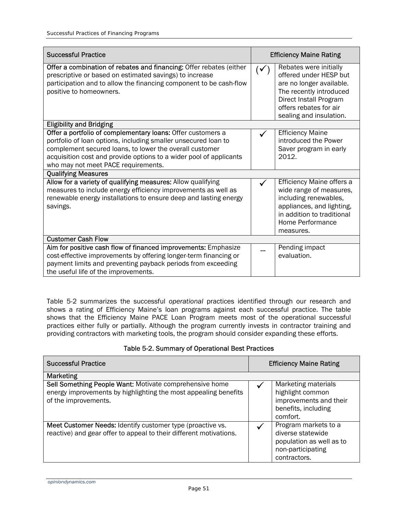| <b>Successful Practice</b>                                                                                                                                                                                                                                                                            | <b>Efficiency Maine Rating</b> |                                                                                                                                                                                        |
|-------------------------------------------------------------------------------------------------------------------------------------------------------------------------------------------------------------------------------------------------------------------------------------------------------|--------------------------------|----------------------------------------------------------------------------------------------------------------------------------------------------------------------------------------|
| Offer a combination of rebates and financing: Offer rebates (either<br>prescriptive or based on estimated savings) to increase<br>participation and to allow the financing component to be cash-flow<br>positive to homeowners.                                                                       | $(\checkmark)$                 | Rebates were initially<br>offered under HESP but<br>are no longer available.<br>The recently introduced<br>Direct Install Program<br>offers rebates for air<br>sealing and insulation. |
| <b>Eligibility and Bridging</b>                                                                                                                                                                                                                                                                       |                                |                                                                                                                                                                                        |
| Offer a portfolio of complementary loans: Offer customers a<br>portfolio of loan options, including smaller unsecured loan to<br>complement secured loans, to lower the overall customer<br>acquisition cost and provide options to a wider pool of applicants<br>who may not meet PACE requirements. | $\checkmark$                   | <b>Efficiency Maine</b><br>introduced the Power<br>Saver program in early<br>2012.                                                                                                     |
| <b>Qualifying Measures</b>                                                                                                                                                                                                                                                                            |                                |                                                                                                                                                                                        |
| Allow for a variety of qualifying measures: Allow qualifying<br>measures to include energy efficiency improvements as well as<br>renewable energy installations to ensure deep and lasting energy<br>savings.                                                                                         | $\checkmark$                   | Efficiency Maine offers a<br>wide range of measures,<br>including renewables,<br>appliances, and lighting,<br>in addition to traditional<br>Home Performance<br>measures.              |
| <b>Customer Cash Flow</b>                                                                                                                                                                                                                                                                             |                                |                                                                                                                                                                                        |
| Aim for positive cash flow of financed improvements: Emphasize<br>cost-effective improvements by offering longer-term financing or<br>payment limits and preventing payback periods from exceeding<br>the useful life of the improvements.                                                            |                                | Pending impact<br>evaluation.                                                                                                                                                          |

Table 5-2 summarizes the successful *operational* practices identified through our research and shows a rating of Efficiency Maine's loan programs against each successful practice. The table shows that the Efficiency Maine PACE Loan Program meets most of the operational successful practices either fully or partially. Although the program currently invests in contractor training and providing contractors with marketing tools, the program should consider expanding these efforts.

#### Table 5-2. Summary of Operational Best Practices

| <b>Successful Practice</b>                                                                                                                         | <b>Efficiency Maine Rating</b> |                                                                                                            |
|----------------------------------------------------------------------------------------------------------------------------------------------------|--------------------------------|------------------------------------------------------------------------------------------------------------|
| Marketing                                                                                                                                          |                                |                                                                                                            |
| Sell Something People Want: Motivate comprehensive home<br>energy improvements by highlighting the most appealing benefits<br>of the improvements. |                                | Marketing materials<br>highlight common<br>improvements and their<br>benefits, including<br>comfort.       |
| <b>Meet Customer Needs: Identify customer type (proactive vs.</b><br>reactive) and gear offer to appeal to their different motivations.            | ✔                              | Program markets to a<br>diverse statewide<br>population as well as to<br>non-participating<br>contractors. |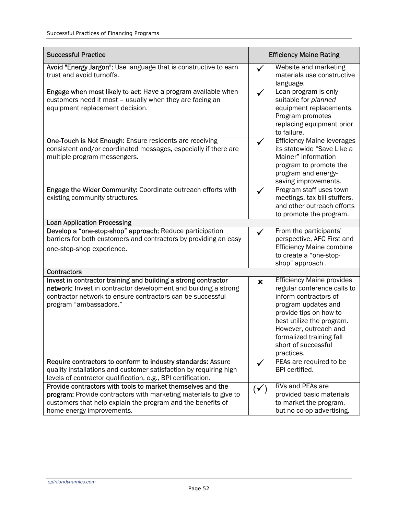| <b>Successful Practice</b>                                                                                                                                                                                                  | <b>Efficiency Maine Rating</b> |                                                                                                                                                                                                                                                                  |
|-----------------------------------------------------------------------------------------------------------------------------------------------------------------------------------------------------------------------------|--------------------------------|------------------------------------------------------------------------------------------------------------------------------------------------------------------------------------------------------------------------------------------------------------------|
| Avoid "Energy Jargon": Use language that is constructive to earn<br>trust and avoid turnoffs.                                                                                                                               | $\checkmark$                   | Website and marketing<br>materials use constructive<br>language.                                                                                                                                                                                                 |
| Engage when most likely to act: Have a program available when<br>customers need it most - usually when they are facing an<br>equipment replacement decision.                                                                | ✓                              | Loan program is only<br>suitable for planned<br>equipment replacements.<br>Program promotes<br>replacing equipment prior<br>to failure.                                                                                                                          |
| One-Touch is Not Enough: Ensure residents are receiving<br>consistent and/or coordinated messages, especially if there are<br>multiple program messengers.                                                                  |                                | <b>Efficiency Maine leverages</b><br>its statewide "Save Like a<br>Mainer" information<br>program to promote the<br>program and energy-<br>saving improvements.                                                                                                  |
| Engage the Wider Community: Coordinate outreach efforts with<br>existing community structures.                                                                                                                              |                                | Program staff uses town<br>meetings, tax bill stuffers,<br>and other outreach efforts<br>to promote the program.                                                                                                                                                 |
| <b>Loan Application Processing</b>                                                                                                                                                                                          |                                |                                                                                                                                                                                                                                                                  |
| Develop a "one-stop-shop" approach: Reduce participation<br>barriers for both customers and contractors by providing an easy<br>one-stop-shop experience.                                                                   |                                | From the participants'<br>perspective, AFC First and<br><b>Efficiency Maine combine</b><br>to create a "one-stop-<br>shop" approach.                                                                                                                             |
| <b>Contractors</b>                                                                                                                                                                                                          |                                |                                                                                                                                                                                                                                                                  |
| Invest in contractor training and building a strong contractor<br>network: Invest in contractor development and building a strong<br>contractor network to ensure contractors can be successful<br>program "ambassadors."   | $\pmb{\times}$                 | <b>Efficiency Maine provides</b><br>regular conference calls to<br>inform contractors of<br>program updates and<br>provide tips on how to<br>best utilize the program.<br>However, outreach and<br>formalized training fall<br>short of successful<br>practices. |
| Require contractors to conform to industry standards: Assure<br>quality installations and customer satisfaction by requiring high<br>levels of contractor qualification, e.g., BPI certification.                           | $\checkmark$                   | PEAs are required to be<br>BPI certified.                                                                                                                                                                                                                        |
| Provide contractors with tools to market themselves and the<br>program: Provide contractors with marketing materials to give to<br>customers that help explain the program and the benefits of<br>home energy improvements. | $(\checkmark)$                 | RVs and PEAs are<br>provided basic materials<br>to market the program,<br>but no co-op advertising.                                                                                                                                                              |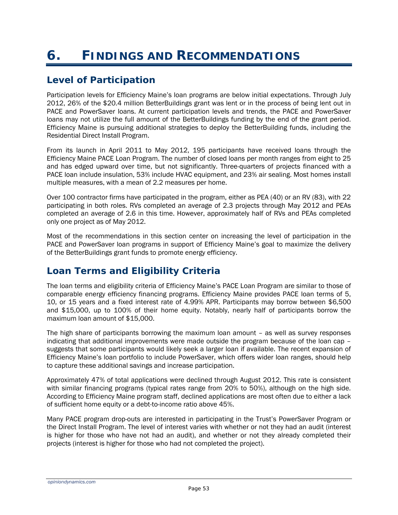# **6. FINDINGS AND RECOMMENDATIONS**

### **Level of Participation**

Participation levels for Efficiency Maine's loan programs are below initial expectations. Through July 2012, 26% of the \$20.4 million BetterBuildings grant was lent or in the process of being lent out in PACE and PowerSaver loans. At current participation levels and trends, the PACE and PowerSaver loans may not utilize the full amount of the BetterBuildings funding by the end of the grant period. Efficiency Maine is pursuing additional strategies to deploy the BetterBuilding funds, including the Residential Direct Install Program.

From its launch in April 2011 to May 2012, 195 participants have received loans through the Efficiency Maine PACE Loan Program. The number of closed loans per month ranges from eight to 25 and has edged upward over time, but not significantly. Three-quarters of projects financed with a PACE loan include insulation, 53% include HVAC equipment, and 23% air sealing. Most homes install multiple measures, with a mean of 2.2 measures per home.

Over 100 contractor firms have participated in the program, either as PEA (40) or an RV (83), with 22 participating in both roles. RVs completed an average of 2.3 projects through May 2012 and PEAs completed an average of 2.6 in this time. However, approximately half of RVs and PEAs completed only one project as of May 2012.

Most of the recommendations in this section center on increasing the level of participation in the PACE and PowerSaver loan programs in support of Efficiency Maine's goal to maximize the delivery of the BetterBuildings grant funds to promote energy efficiency.

## **Loan Terms and Eligibility Criteria**

The loan terms and eligibility criteria of Efficiency Maine's PACE Loan Program are similar to those of comparable energy efficiency financing programs. Efficiency Maine provides PACE loan terms of 5, 10, or 15 years and a fixed interest rate of 4.99% APR. Participants may borrow between \$6,500 and \$15,000, up to 100% of their home equity. Notably, nearly half of participants borrow the maximum loan amount of \$15,000.

The high share of participants borrowing the maximum loan amount – as well as survey responses indicating that additional improvements were made outside the program because of the loan cap – suggests that some participants would likely seek a larger loan if available. The recent expansion of Efficiency Maine's loan portfolio to include PowerSaver, which offers wider loan ranges, should help to capture these additional savings and increase participation.

Approximately 47% of total applications were declined through August 2012. This rate is consistent with similar financing programs (typical rates range from 20% to 50%), although on the high side. According to Efficiency Maine program staff, declined applications are most often due to either a lack of sufficient home equity or a debt-to-income ratio above 45%.

Many PACE program drop-outs are interested in participating in the Trust's PowerSaver Program or the Direct Install Program. The level of interest varies with whether or not they had an audit (interest is higher for those who have not had an audit), and whether or not they already completed their projects (interest is higher for those who had not completed the project).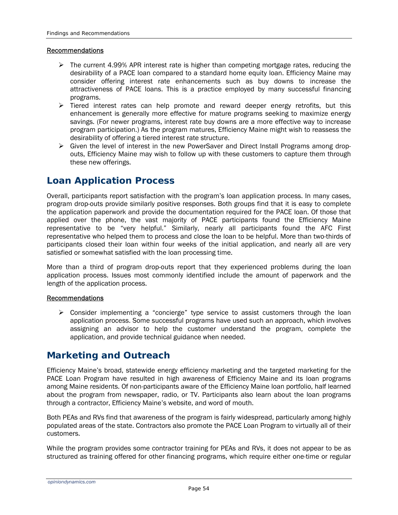#### **Recommendations**

- $\triangleright$  The current 4.99% APR interest rate is higher than competing mortgage rates, reducing the desirability of a PACE loan compared to a standard home equity loan. Efficiency Maine may consider offering interest rate enhancements such as buy downs to increase the attractiveness of PACE loans. This is a practice employed by many successful financing programs.
- $\triangleright$  Tiered interest rates can help promote and reward deeper energy retrofits, but this enhancement is generally more effective for mature programs seeking to maximize energy savings. (For newer programs, interest rate buy downs are a more effective way to increase program participation.) As the program matures, Efficiency Maine might wish to reassess the desirability of offering a tiered interest rate structure.
- $\triangleright$  Given the level of interest in the new PowerSaver and Direct Install Programs among dropouts, Efficiency Maine may wish to follow up with these customers to capture them through these new offerings.

#### **Loan Application Process**

Overall, participants report satisfaction with the program's loan application process. In many cases, program drop-outs provide similarly positive responses. Both groups find that it is easy to complete the application paperwork and provide the documentation required for the PACE loan. Of those that applied over the phone, the vast majority of PACE participants found the Efficiency Maine representative to be "very helpful." Similarly, nearly all participants found the AFC First representative who helped them to process and close the loan to be helpful. More than two-thirds of participants closed their loan within four weeks of the initial application, and nearly all are very satisfied or somewhat satisfied with the loan processing time.

More than a third of program drop-outs report that they experienced problems during the loan application process. Issues most commonly identified include the amount of paperwork and the length of the application process.

#### Recommendations

 $\triangleright$  Consider implementing a "concierge" type service to assist customers through the loan application process. Some successful programs have used such an approach, which involves assigning an advisor to help the customer understand the program, complete the application, and provide technical guidance when needed.

#### **Marketing and Outreach**

Efficiency Maine's broad, statewide energy efficiency marketing and the targeted marketing for the PACE Loan Program have resulted in high awareness of Efficiency Maine and its loan programs among Maine residents. Of non-participants aware of the Efficiency Maine loan portfolio, half learned about the program from newspaper, radio, or TV. Participants also learn about the loan programs through a contractor, Efficiency Maine's website, and word of mouth.

Both PEAs and RVs find that awareness of the program is fairly widespread, particularly among highly populated areas of the state. Contractors also promote the PACE Loan Program to virtually all of their customers.

While the program provides some contractor training for PEAs and RVs, it does not appear to be as structured as training offered for other financing programs, which require either one-time or regular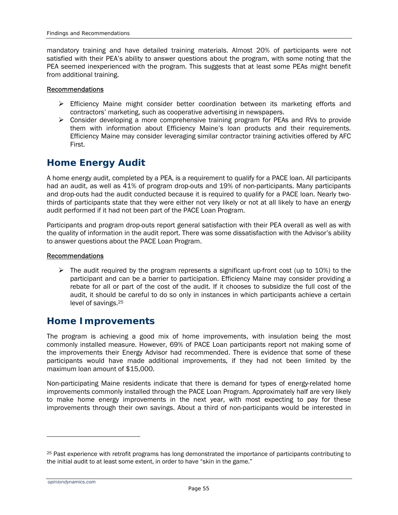mandatory training and have detailed training materials. Almost 20% of participants were not satisfied with their PEA's ability to answer questions about the program, with some noting that the PEA seemed inexperienced with the program. This suggests that at least some PEAs might benefit from additional training.

#### Recommendations

- $\triangleright$  Efficiency Maine might consider better coordination between its marketing efforts and contractors' marketing, such as cooperative advertising in newspapers.
- $\triangleright$  Consider developing a more comprehensive training program for PEAs and RVs to provide them with information about Efficiency Maine's loan products and their requirements. Efficiency Maine may consider leveraging similar contractor training activities offered by AFC First.

### **Home Energy Audit**

A home energy audit, completed by a PEA, is a requirement to qualify for a PACE loan. All participants had an audit, as well as 41% of program drop-outs and 19% of non-participants. Many participants and drop-outs had the audit conducted because it is required to qualify for a PACE loan. Nearly twothirds of participants state that they were either not very likely or not at all likely to have an energy audit performed if it had not been part of the PACE Loan Program.

Participants and program drop-outs report general satisfaction with their PEA overall as well as with the quality of information in the audit report. There was some dissatisfaction with the Advisor's ability to answer questions about the PACE Loan Program.

#### Recommendations

 $\triangleright$  The audit required by the program represents a significant up-front cost (up to 10%) to the participant and can be a barrier to participation. Efficiency Maine may consider providing a rebate for all or part of the cost of the audit. If it chooses to subsidize the full cost of the audit, it should be careful to do so only in instances in which participants achieve a certain level of savings.25

#### **Home Improvements**

The program is achieving a good mix of home improvements, with insulation being the most commonly installed measure. However, 69% of PACE Loan participants report not making some of the improvements their Energy Advisor had recommended. There is evidence that some of these participants would have made additional improvements, if they had not been limited by the maximum loan amount of \$15,000.

Non-participating Maine residents indicate that there is demand for types of energy-related home improvements commonly installed through the PACE Loan Program. Approximately half are very likely to make home energy improvements in the next year, with most expecting to pay for these improvements through their own savings. About a third of non-participants would be interested in

<sup>&</sup>lt;sup>25</sup> Past experience with retrofit programs has long demonstrated the importance of participants contributing to the initial audit to at least some extent, in order to have "skin in the game."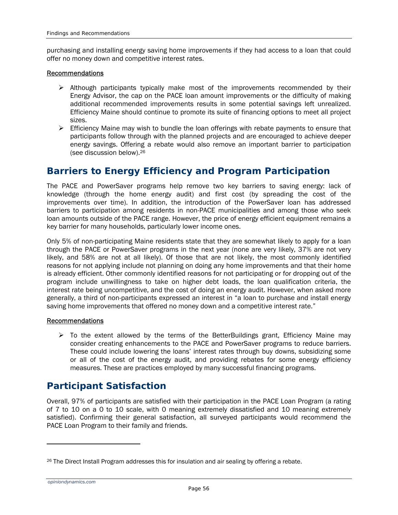purchasing and installing energy saving home improvements if they had access to a loan that could offer no money down and competitive interest rates.

#### **Recommendations**

- $\triangleright$  Although participants typically make most of the improvements recommended by their Energy Advisor, the cap on the PACE loan amount improvements or the difficulty of making additional recommended improvements results in some potential savings left unrealized. Efficiency Maine should continue to promote its suite of financing options to meet all project sizes.
- $\triangleright$  Efficiency Maine may wish to bundle the loan offerings with rebate payments to ensure that participants follow through with the planned projects and are encouraged to achieve deeper energy savings. Offering a rebate would also remove an important barrier to participation (see discussion below).26

### **Barriers to Energy Efficiency and Program Participation**

The PACE and PowerSaver programs help remove two key barriers to saving energy: lack of knowledge (through the home energy audit) and first cost (by spreading the cost of the improvements over time). In addition, the introduction of the PowerSaver loan has addressed barriers to participation among residents in non-PACE municipalities and among those who seek loan amounts outside of the PACE range. However, the price of energy efficient equipment remains a key barrier for many households, particularly lower income ones.

Only 5% of non-participating Maine residents state that they are somewhat likely to apply for a loan through the PACE or PowerSaver programs in the next year (none are very likely, 37% are not very likely, and 58% are not at all likely). Of those that are not likely, the most commonly identified reasons for not applying include not planning on doing any home improvements and that their home is already efficient. Other commonly identified reasons for not participating or for dropping out of the program include unwillingness to take on higher debt loads, the loan qualification criteria, the interest rate being uncompetitive, and the cost of doing an energy audit. However, when asked more generally, a third of non-participants expressed an interest in "a loan to purchase and install energy saving home improvements that offered no money down and a competitive interest rate."

#### Recommendations

 $\triangleright$  To the extent allowed by the terms of the BetterBuildings grant, Efficiency Maine may consider creating enhancements to the PACE and PowerSaver programs to reduce barriers. These could include lowering the loans' interest rates through buy downs, subsidizing some or all of the cost of the energy audit, and providing rebates for some energy efficiency measures. These are practices employed by many successful financing programs.

### **Participant Satisfaction**

Overall, 97% of participants are satisfied with their participation in the PACE Loan Program (a rating of 7 to 10 on a 0 to 10 scale, with 0 meaning extremely dissatisfied and 10 meaning extremely satisfied). Confirming their general satisfaction, all surveyed participants would recommend the PACE Loan Program to their family and friends.

<sup>&</sup>lt;sup>26</sup> The Direct Install Program addresses this for insulation and air sealing by offering a rebate.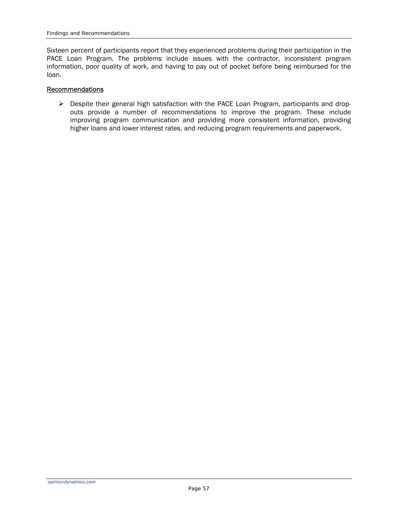Sixteen percent of participants report that they experienced problems during their participation in the PACE Loan Program. The problems include issues with the contractor, inconsistent program information, poor quality of work, and having to pay out of pocket before being reimbursed for the loan.

#### Recommendations

¾ Despite their general high satisfaction with the PACE Loan Program, participants and dropouts provide a number of recommendations to improve the program. These include improving program communication and providing more consistent information, providing higher loans and lower interest rates, and reducing program requirements and paperwork.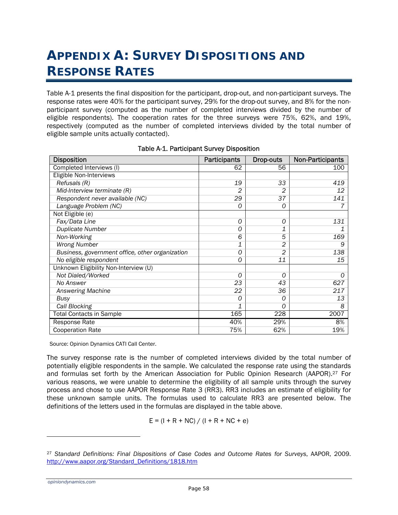# **APPENDIX A: SURVEY DISPOSITIONS AND RESPONSE RATES**

Table A-1 presents the final disposition for the participant, drop-out, and non-participant surveys. The response rates were 40% for the participant survey, 29% for the drop-out survey, and 8% for the nonparticipant survey (computed as the number of completed interviews divided by the number of eligible respondents). The cooperation rates for the three surveys were 75%, 62%, and 19%, respectively (computed as the number of completed interviews divided by the total number of eligible sample units actually contacted).

| <b>Disposition</b>                              | Participants   | Drop-outs      | <b>Non-Participants</b> |
|-------------------------------------------------|----------------|----------------|-------------------------|
| Completed Interviews (I)                        | 62             | 56             | 100                     |
| Eligible Non-Interviews                         |                |                |                         |
| Refusals (R)                                    | 19             | 33             | 419                     |
| Mid-Interview terminate (R)                     | 2              | 2              | 12                      |
| Respondent never available (NC)                 | 29             | 37             | 141                     |
| Language Problem (NC)                           | 0              | 0              |                         |
| Not Eligible (e)                                |                |                |                         |
| Fax/Data Line                                   | O              | 0              | 131                     |
| Duplicate Number                                | 0              | 1              |                         |
| Non-Working                                     | 6              | 5              | 169                     |
| Wrong Number                                    | 1              | 2              | 9                       |
| Business, government office, other organization | $\overline{O}$ | $\overline{2}$ | 138                     |
| No eligible respondent                          | 0              | 11             | 15                      |
| Unknown Eligibility Non-Interview (U)           |                |                |                         |
| Not Dialed/Worked                               | O              | 0              | Ω                       |
| No Answer                                       | 23             | 43             | 627                     |
| <b>Answering Machine</b>                        | 22             | 36             | 217                     |
| Busy                                            | Ο              | 0              | 13                      |
| Call Blocking                                   | 1              | 0              | 8                       |
| <b>Total Contacts in Sample</b>                 | 165            | 228            | 2007                    |
| Response Rate                                   | 40%            | 29%            | 8%                      |
| <b>Cooperation Rate</b>                         | 75%            | 62%            | 19%                     |

#### Table A-1. Participant Survey Disposition

Source: Opinion Dynamics CATI Call Center.

The survey response rate is the number of completed interviews divided by the total number of potentially eligible respondents in the sample. We calculated the response rate using the standards and formulas set forth by the American Association for Public Opinion Research (AAPOR).27 For various reasons, we were unable to determine the eligibility of all sample units through the survey process and chose to use AAPOR Response Rate 3 (RR3). RR3 includes an estimate of eligibility for these unknown sample units. The formulas used to calculate RR3 are presented below. The definitions of the letters used in the formulas are displayed in the table above.

$$
E = (I + R + NC) / (I + R + NC + e)
$$

*opiniondynamics.com* 

<sup>27</sup> *Standard Definitions: Final Dispositions of Case Codes and Outcome Rates for Surveys*, AAPOR, 2009. http://www.aapor.org/Standard\_Definitions/1818.htm